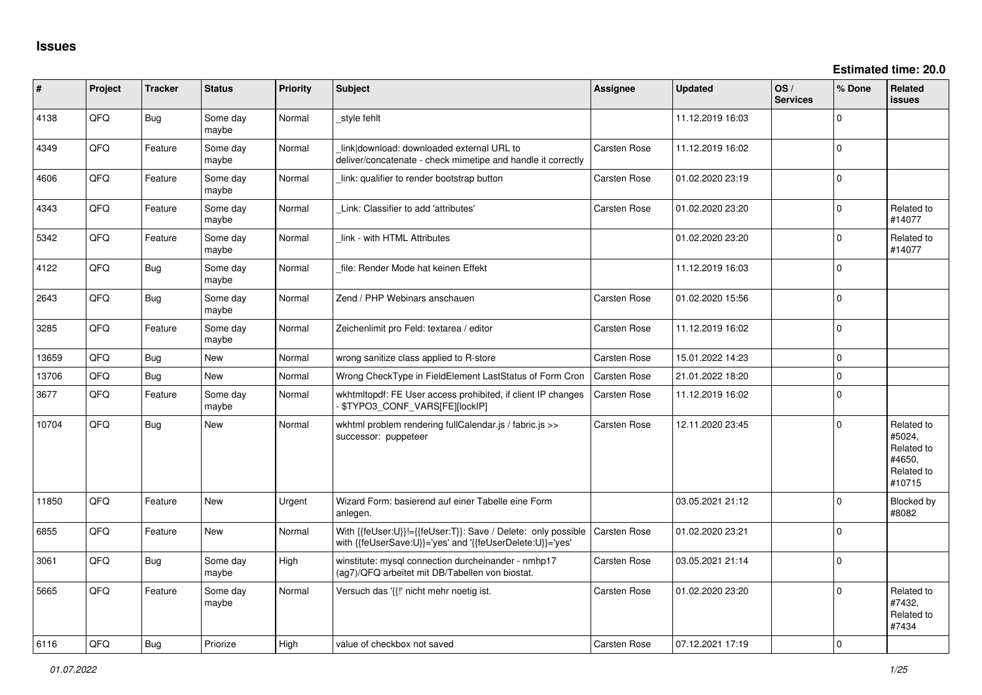| #     | Project | <b>Tracker</b> | <b>Status</b>     | <b>Priority</b> | <b>Subject</b>                                                                                                             | Assignee            | <b>Updated</b>   | OS/<br><b>Services</b> | % Done         | Related<br><b>issues</b>                                             |
|-------|---------|----------------|-------------------|-----------------|----------------------------------------------------------------------------------------------------------------------------|---------------------|------------------|------------------------|----------------|----------------------------------------------------------------------|
| 4138  | QFQ     | <b>Bug</b>     | Some day<br>maybe | Normal          | _style fehlt                                                                                                               |                     | 11.12.2019 16:03 |                        | $\Omega$       |                                                                      |
| 4349  | QFQ     | Feature        | Some day<br>maybe | Normal          | link download: downloaded external URL to<br>deliver/concatenate - check mimetipe and handle it correctly                  | Carsten Rose        | 11.12.2019 16:02 |                        | $\Omega$       |                                                                      |
| 4606  | QFQ     | Feature        | Some day<br>maybe | Normal          | link: qualifier to render bootstrap button                                                                                 | Carsten Rose        | 01.02.2020 23:19 |                        | $\Omega$       |                                                                      |
| 4343  | QFQ     | Feature        | Some day<br>maybe | Normal          | Link: Classifier to add 'attributes'                                                                                       | Carsten Rose        | 01.02.2020 23:20 |                        | $\Omega$       | Related to<br>#14077                                                 |
| 5342  | QFQ     | Feature        | Some day<br>maybe | Normal          | link - with HTML Attributes                                                                                                |                     | 01.02.2020 23:20 |                        | $\Omega$       | Related to<br>#14077                                                 |
| 4122  | QFQ     | Bug            | Some day<br>maybe | Normal          | file: Render Mode hat keinen Effekt                                                                                        |                     | 11.12.2019 16:03 |                        | $\overline{0}$ |                                                                      |
| 2643  | QFQ     | Bug            | Some day<br>maybe | Normal          | Zend / PHP Webinars anschauen                                                                                              | Carsten Rose        | 01.02.2020 15:56 |                        | $\Omega$       |                                                                      |
| 3285  | QFQ     | Feature        | Some day<br>maybe | Normal          | Zeichenlimit pro Feld: textarea / editor                                                                                   | Carsten Rose        | 11.12.2019 16:02 |                        | $\Omega$       |                                                                      |
| 13659 | QFQ     | Bug            | <b>New</b>        | Normal          | wrong sanitize class applied to R-store                                                                                    | Carsten Rose        | 15.01.2022 14:23 |                        | $\Omega$       |                                                                      |
| 13706 | QFQ     | <b>Bug</b>     | <b>New</b>        | Normal          | Wrong CheckType in FieldElement LastStatus of Form Cron                                                                    | <b>Carsten Rose</b> | 21.01.2022 18:20 |                        | $\mathbf 0$    |                                                                      |
| 3677  | QFQ     | Feature        | Some day<br>maybe | Normal          | wkhtmltopdf: FE User access prohibited, if client IP changes<br>- \$TYPO3_CONF_VARS[FE][lockIP]                            | Carsten Rose        | 11.12.2019 16:02 |                        | $\overline{0}$ |                                                                      |
| 10704 | QFQ     | <b>Bug</b>     | <b>New</b>        | Normal          | wkhtml problem rendering fullCalendar.js / fabric.js >><br>successor: puppeteer                                            | Carsten Rose        | 12.11.2020 23:45 |                        | $\Omega$       | Related to<br>#5024,<br>Related to<br>#4650,<br>Related to<br>#10715 |
| 11850 | QFQ     | Feature        | <b>New</b>        | Urgent          | Wizard Form: basierend auf einer Tabelle eine Form<br>anlegen.                                                             |                     | 03.05.2021 21:12 |                        | $\Omega$       | <b>Blocked by</b><br>#8082                                           |
| 6855  | QFQ     | Feature        | <b>New</b>        | Normal          | With {{feUser:U}}!={{feUser:T}}: Save / Delete: only possible<br>with {{feUserSave:U}}='yes' and '{{feUserDelete:U}}='yes' | Carsten Rose        | 01.02.2020 23:21 |                        | $\Omega$       |                                                                      |
| 3061  | QFQ     | Bug            | Some day<br>maybe | High            | winstitute: mysql connection durcheinander - nmhp17<br>(ag7)/QFQ arbeitet mit DB/Tabellen von biostat.                     | Carsten Rose        | 03.05.2021 21:14 |                        | $\Omega$       |                                                                      |
| 5665  | QFQ     | Feature        | Some day<br>maybe | Normal          | Versuch das '{{!' nicht mehr noetig ist.                                                                                   | Carsten Rose        | 01.02.2020 23:20 |                        | $\Omega$       | Related to<br>#7432.<br>Related to<br>#7434                          |
| 6116  | QFQ     | Bug            | Priorize          | High            | value of checkbox not saved                                                                                                | Carsten Rose        | 07.12.2021 17:19 |                        | $\Omega$       |                                                                      |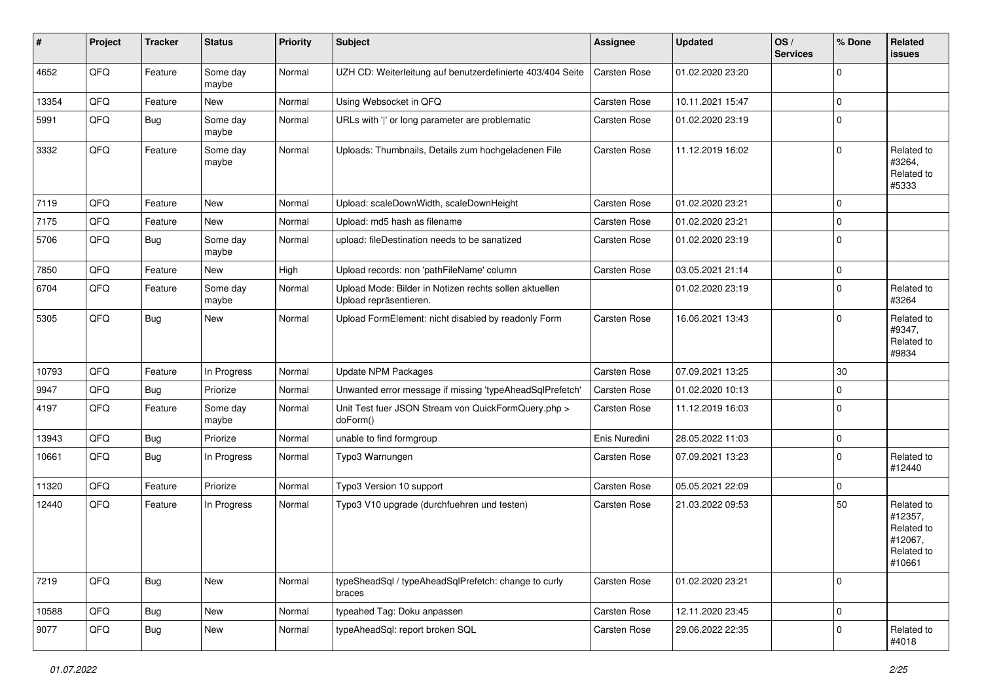| #     | Project | <b>Tracker</b> | <b>Status</b>     | <b>Priority</b> | Subject                                                                          | <b>Assignee</b> | <b>Updated</b>   | OS/<br><b>Services</b> | % Done      | Related<br>issues                                                      |
|-------|---------|----------------|-------------------|-----------------|----------------------------------------------------------------------------------|-----------------|------------------|------------------------|-------------|------------------------------------------------------------------------|
| 4652  | QFQ     | Feature        | Some day<br>maybe | Normal          | UZH CD: Weiterleitung auf benutzerdefinierte 403/404 Seite                       | Carsten Rose    | 01.02.2020 23:20 |                        | $\mathbf 0$ |                                                                        |
| 13354 | QFQ     | Feature        | New               | Normal          | Using Websocket in QFQ                                                           | Carsten Rose    | 10.11.2021 15:47 |                        | $\mathbf 0$ |                                                                        |
| 5991  | QFQ     | <b>Bug</b>     | Some day<br>maybe | Normal          | URLs with ' ' or long parameter are problematic                                  | Carsten Rose    | 01.02.2020 23:19 |                        | $\mathbf 0$ |                                                                        |
| 3332  | QFQ     | Feature        | Some day<br>maybe | Normal          | Uploads: Thumbnails, Details zum hochgeladenen File                              | Carsten Rose    | 11.12.2019 16:02 |                        | $\mathbf 0$ | Related to<br>#3264,<br>Related to<br>#5333                            |
| 7119  | QFQ     | Feature        | New               | Normal          | Upload: scaleDownWidth, scaleDownHeight                                          | Carsten Rose    | 01.02.2020 23:21 |                        | $\mathbf 0$ |                                                                        |
| 7175  | QFQ     | Feature        | New               | Normal          | Upload: md5 hash as filename                                                     | Carsten Rose    | 01.02.2020 23:21 |                        | $\mathbf 0$ |                                                                        |
| 5706  | QFQ     | Bug            | Some day<br>maybe | Normal          | upload: fileDestination needs to be sanatized                                    | Carsten Rose    | 01.02.2020 23:19 |                        | $\mathbf 0$ |                                                                        |
| 7850  | QFQ     | Feature        | New               | High            | Upload records: non 'pathFileName' column                                        | Carsten Rose    | 03.05.2021 21:14 |                        | $\mathbf 0$ |                                                                        |
| 6704  | QFQ     | Feature        | Some day<br>maybe | Normal          | Upload Mode: Bilder in Notizen rechts sollen aktuellen<br>Upload repräsentieren. |                 | 01.02.2020 23:19 |                        | $\mathbf 0$ | Related to<br>#3264                                                    |
| 5305  | QFQ     | Bug            | New               | Normal          | Upload FormElement: nicht disabled by readonly Form                              | Carsten Rose    | 16.06.2021 13:43 |                        | $\mathbf 0$ | Related to<br>#9347,<br>Related to<br>#9834                            |
| 10793 | QFQ     | Feature        | In Progress       | Normal          | <b>Update NPM Packages</b>                                                       | Carsten Rose    | 07.09.2021 13:25 |                        | 30          |                                                                        |
| 9947  | QFQ     | <b>Bug</b>     | Priorize          | Normal          | Unwanted error message if missing 'typeAheadSqlPrefetch'                         | Carsten Rose    | 01.02.2020 10:13 |                        | $\mathbf 0$ |                                                                        |
| 4197  | QFQ     | Feature        | Some day<br>maybe | Normal          | Unit Test fuer JSON Stream von QuickFormQuery.php ><br>doForm()                  | Carsten Rose    | 11.12.2019 16:03 |                        | $\mathbf 0$ |                                                                        |
| 13943 | QFQ     | Bug            | Priorize          | Normal          | unable to find formgroup                                                         | Enis Nuredini   | 28.05.2022 11:03 |                        | $\mathbf 0$ |                                                                        |
| 10661 | QFQ     | Bug            | In Progress       | Normal          | Typo3 Warnungen                                                                  | Carsten Rose    | 07.09.2021 13:23 |                        | $\mathbf 0$ | Related to<br>#12440                                                   |
| 11320 | QFQ     | Feature        | Priorize          | Normal          | Typo3 Version 10 support                                                         | Carsten Rose    | 05.05.2021 22:09 |                        | $\mathbf 0$ |                                                                        |
| 12440 | QFQ     | Feature        | In Progress       | Normal          | Typo3 V10 upgrade (durchfuehren und testen)                                      | Carsten Rose    | 21.03.2022 09:53 |                        | 50          | Related to<br>#12357,<br>Related to<br>#12067,<br>Related to<br>#10661 |
| 7219  | QFQ     | Bug            | New               | Normal          | typeSheadSql / typeAheadSqlPrefetch: change to curly<br>braces                   | Carsten Rose    | 01.02.2020 23:21 |                        | $\mathbf 0$ |                                                                        |
| 10588 | QFQ     | Bug            | New               | Normal          | typeahed Tag: Doku anpassen                                                      | Carsten Rose    | 12.11.2020 23:45 |                        | $\mathbf 0$ |                                                                        |
| 9077  | QFQ     | <b>Bug</b>     | New               | Normal          | typeAheadSql: report broken SQL                                                  | Carsten Rose    | 29.06.2022 22:35 |                        | $\mathbf 0$ | Related to<br>#4018                                                    |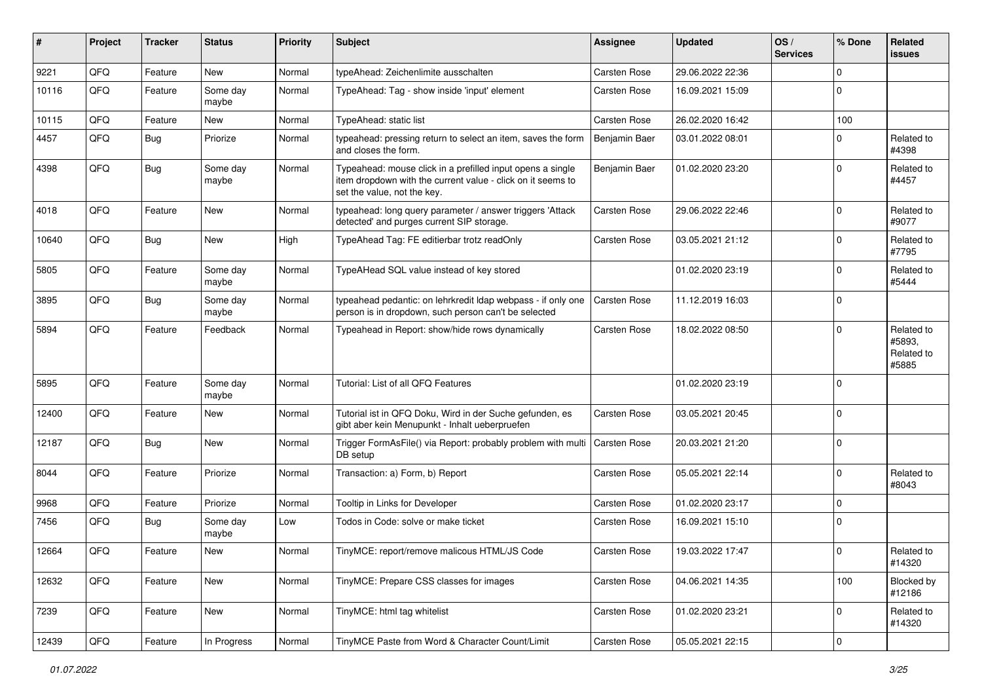| #     | Project | <b>Tracker</b> | <b>Status</b>     | <b>Priority</b> | Subject                                                                                                                                                  | <b>Assignee</b>     | <b>Updated</b>   | OS/<br><b>Services</b> | % Done      | Related<br><b>issues</b>                    |
|-------|---------|----------------|-------------------|-----------------|----------------------------------------------------------------------------------------------------------------------------------------------------------|---------------------|------------------|------------------------|-------------|---------------------------------------------|
| 9221  | QFQ     | Feature        | New               | Normal          | typeAhead: Zeichenlimite ausschalten                                                                                                                     | Carsten Rose        | 29.06.2022 22:36 |                        | $\mathbf 0$ |                                             |
| 10116 | QFQ     | Feature        | Some day<br>maybe | Normal          | TypeAhead: Tag - show inside 'input' element                                                                                                             | <b>Carsten Rose</b> | 16.09.2021 15:09 |                        | $\mathbf 0$ |                                             |
| 10115 | QFQ     | Feature        | New               | Normal          | TypeAhead: static list                                                                                                                                   | <b>Carsten Rose</b> | 26.02.2020 16:42 |                        | 100         |                                             |
| 4457  | QFQ     | Bug            | Priorize          | Normal          | typeahead: pressing return to select an item, saves the form<br>and closes the form.                                                                     | Benjamin Baer       | 03.01.2022 08:01 |                        | $\mathbf 0$ | Related to<br>#4398                         |
| 4398  | QFQ     | Bug            | Some day<br>maybe | Normal          | Typeahead: mouse click in a prefilled input opens a single<br>item dropdown with the current value - click on it seems to<br>set the value, not the key. | Benjamin Baer       | 01.02.2020 23:20 |                        | $\mathbf 0$ | Related to<br>#4457                         |
| 4018  | QFQ     | Feature        | New               | Normal          | typeahead: long query parameter / answer triggers 'Attack<br>detected' and purges current SIP storage.                                                   | Carsten Rose        | 29.06.2022 22:46 |                        | $\mathbf 0$ | Related to<br>#9077                         |
| 10640 | QFQ     | Bug            | New               | High            | TypeAhead Tag: FE editierbar trotz readOnly                                                                                                              | Carsten Rose        | 03.05.2021 21:12 |                        | $\Omega$    | Related to<br>#7795                         |
| 5805  | QFQ     | Feature        | Some day<br>maybe | Normal          | TypeAHead SQL value instead of key stored                                                                                                                |                     | 01.02.2020 23:19 |                        | $\mathbf 0$ | Related to<br>#5444                         |
| 3895  | QFQ     | <b>Bug</b>     | Some day<br>maybe | Normal          | typeahead pedantic: on lehrkredit Idap webpass - if only one<br>person is in dropdown, such person can't be selected                                     | <b>Carsten Rose</b> | 11.12.2019 16:03 |                        | $\mathbf 0$ |                                             |
| 5894  | QFQ     | Feature        | Feedback          | Normal          | Typeahead in Report: show/hide rows dynamically                                                                                                          | Carsten Rose        | 18.02.2022 08:50 |                        | $\mathbf 0$ | Related to<br>#5893,<br>Related to<br>#5885 |
| 5895  | QFQ     | Feature        | Some day<br>maybe | Normal          | Tutorial: List of all QFQ Features                                                                                                                       |                     | 01.02.2020 23:19 |                        | $\mathbf 0$ |                                             |
| 12400 | QFQ     | Feature        | New               | Normal          | Tutorial ist in QFQ Doku, Wird in der Suche gefunden, es<br>gibt aber kein Menupunkt - Inhalt ueberpruefen                                               | Carsten Rose        | 03.05.2021 20:45 |                        | $\mathbf 0$ |                                             |
| 12187 | QFQ     | Bug            | New               | Normal          | Trigger FormAsFile() via Report: probably problem with multi<br>DB setup                                                                                 | <b>Carsten Rose</b> | 20.03.2021 21:20 |                        | $\mathbf 0$ |                                             |
| 8044  | QFQ     | Feature        | Priorize          | Normal          | Transaction: a) Form, b) Report                                                                                                                          | Carsten Rose        | 05.05.2021 22:14 |                        | $\mathbf 0$ | Related to<br>#8043                         |
| 9968  | QFQ     | Feature        | Priorize          | Normal          | Tooltip in Links for Developer                                                                                                                           | <b>Carsten Rose</b> | 01.02.2020 23:17 |                        | $\mathbf 0$ |                                             |
| 7456  | QFQ     | Bug            | Some day<br>maybe | Low             | Todos in Code: solve or make ticket                                                                                                                      | Carsten Rose        | 16.09.2021 15:10 |                        | $\mathbf 0$ |                                             |
| 12664 | QFQ     | Feature        | New               | Normal          | TinyMCE: report/remove malicous HTML/JS Code                                                                                                             | <b>Carsten Rose</b> | 19.03.2022 17:47 |                        | $\mathbf 0$ | Related to<br>#14320                        |
| 12632 | QFQ     | Feature        | New               | Normal          | TinyMCE: Prepare CSS classes for images                                                                                                                  | Carsten Rose        | 04.06.2021 14:35 |                        | 100         | Blocked by<br>#12186                        |
| 7239  | QFQ     | Feature        | New               | Normal          | TinyMCE: html tag whitelist                                                                                                                              | Carsten Rose        | 01.02.2020 23:21 |                        | $\mathbf 0$ | Related to<br>#14320                        |
| 12439 | QFQ     | Feature        | In Progress       | Normal          | TinyMCE Paste from Word & Character Count/Limit                                                                                                          | Carsten Rose        | 05.05.2021 22:15 |                        | $\pmb{0}$   |                                             |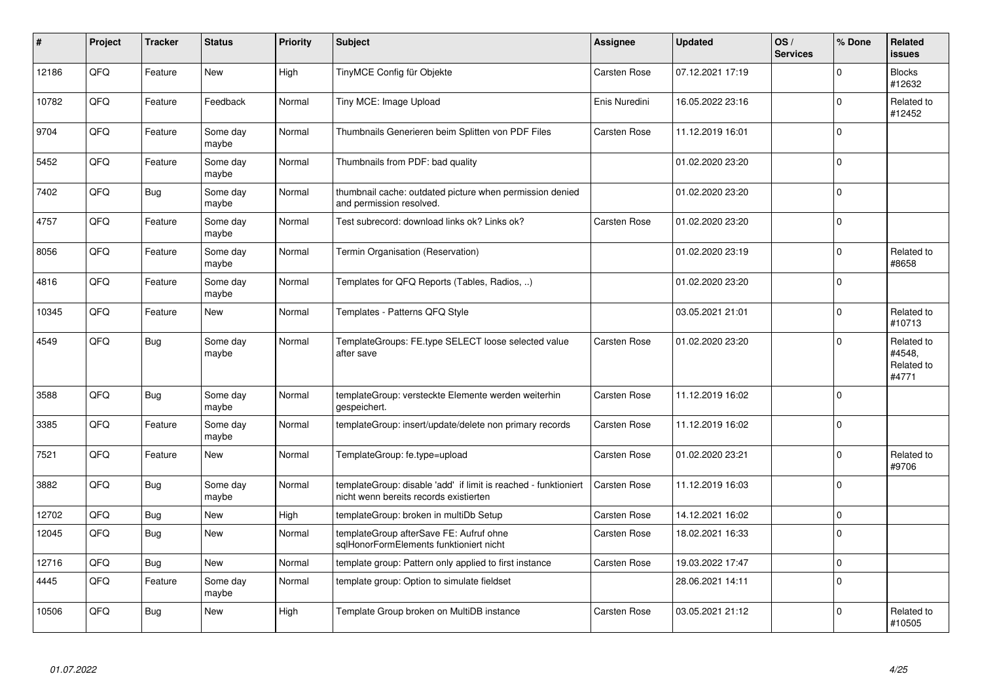| #     | Project | <b>Tracker</b> | <b>Status</b>     | <b>Priority</b> | <b>Subject</b>                                                                                            | <b>Assignee</b> | <b>Updated</b>   | OS/<br><b>Services</b> | % Done         | <b>Related</b><br><b>issues</b>             |
|-------|---------|----------------|-------------------|-----------------|-----------------------------------------------------------------------------------------------------------|-----------------|------------------|------------------------|----------------|---------------------------------------------|
| 12186 | QFQ     | Feature        | <b>New</b>        | High            | TinyMCE Config für Objekte                                                                                | Carsten Rose    | 07.12.2021 17:19 |                        | $\mathbf 0$    | <b>Blocks</b><br>#12632                     |
| 10782 | QFQ     | Feature        | Feedback          | Normal          | Tiny MCE: Image Upload                                                                                    | Enis Nuredini   | 16.05.2022 23:16 |                        | $\mathbf 0$    | Related to<br>#12452                        |
| 9704  | QFQ     | Feature        | Some day<br>maybe | Normal          | Thumbnails Generieren beim Splitten von PDF Files                                                         | Carsten Rose    | 11.12.2019 16:01 |                        | $\overline{0}$ |                                             |
| 5452  | QFQ     | Feature        | Some day<br>maybe | Normal          | Thumbnails from PDF: bad quality                                                                          |                 | 01.02.2020 23:20 |                        | $\Omega$       |                                             |
| 7402  | QFQ     | <b>Bug</b>     | Some day<br>maybe | Normal          | thumbnail cache: outdated picture when permission denied<br>and permission resolved.                      |                 | 01.02.2020 23:20 |                        | $\overline{0}$ |                                             |
| 4757  | QFQ     | Feature        | Some day<br>maybe | Normal          | Test subrecord: download links ok? Links ok?                                                              | Carsten Rose    | 01.02.2020 23:20 |                        | $\pmb{0}$      |                                             |
| 8056  | QFQ     | Feature        | Some day<br>maybe | Normal          | Termin Organisation (Reservation)                                                                         |                 | 01.02.2020 23:19 |                        | $\overline{0}$ | Related to<br>#8658                         |
| 4816  | QFQ     | Feature        | Some day<br>maybe | Normal          | Templates for QFQ Reports (Tables, Radios, )                                                              |                 | 01.02.2020 23:20 |                        | $\mathbf 0$    |                                             |
| 10345 | QFQ     | Feature        | New               | Normal          | Templates - Patterns QFQ Style                                                                            |                 | 03.05.2021 21:01 |                        | $\mathbf 0$    | Related to<br>#10713                        |
| 4549  | QFQ     | <b>Bug</b>     | Some day<br>maybe | Normal          | TemplateGroups: FE.type SELECT loose selected value<br>after save                                         | Carsten Rose    | 01.02.2020 23:20 |                        | $\Omega$       | Related to<br>#4548,<br>Related to<br>#4771 |
| 3588  | QFQ     | <b>Bug</b>     | Some day<br>maybe | Normal          | templateGroup: versteckte Elemente werden weiterhin<br>gespeichert.                                       | Carsten Rose    | 11.12.2019 16:02 |                        | $\mathbf 0$    |                                             |
| 3385  | QFQ     | Feature        | Some day<br>maybe | Normal          | templateGroup: insert/update/delete non primary records                                                   | Carsten Rose    | 11.12.2019 16:02 |                        | $\overline{0}$ |                                             |
| 7521  | QFQ     | Feature        | New               | Normal          | TemplateGroup: fe.type=upload                                                                             | Carsten Rose    | 01.02.2020 23:21 |                        | $\mathbf 0$    | Related to<br>#9706                         |
| 3882  | QFQ     | <b>Bug</b>     | Some day<br>maybe | Normal          | templateGroup: disable 'add' if limit is reached - funktioniert<br>nicht wenn bereits records existierten | Carsten Rose    | 11.12.2019 16:03 |                        | $\overline{0}$ |                                             |
| 12702 | QFQ     | <b>Bug</b>     | New               | High            | templateGroup: broken in multiDb Setup                                                                    | Carsten Rose    | 14.12.2021 16:02 |                        | $\overline{0}$ |                                             |
| 12045 | QFQ     | <b>Bug</b>     | New               | Normal          | templateGroup afterSave FE: Aufruf ohne<br>sglHonorFormElements funktioniert nicht                        | Carsten Rose    | 18.02.2021 16:33 |                        | $\overline{0}$ |                                             |
| 12716 | QFQ     | <b>Bug</b>     | New               | Normal          | template group: Pattern only applied to first instance                                                    | Carsten Rose    | 19.03.2022 17:47 |                        | $\overline{0}$ |                                             |
| 4445  | QFQ     | Feature        | Some day<br>maybe | Normal          | template group: Option to simulate fieldset                                                               |                 | 28.06.2021 14:11 |                        | $\pmb{0}$      |                                             |
| 10506 | QFQ     | <b>Bug</b>     | New               | High            | Template Group broken on MultiDB instance                                                                 | Carsten Rose    | 03.05.2021 21:12 |                        | $\Omega$       | Related to<br>#10505                        |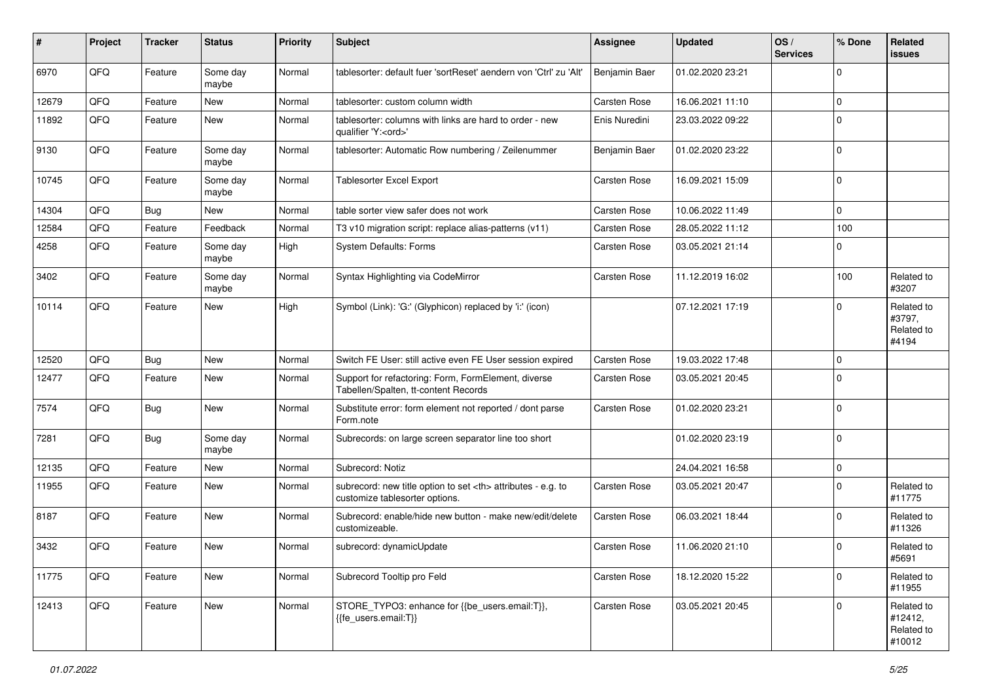| #     | Project | <b>Tracker</b> | <b>Status</b>     | <b>Priority</b> | <b>Subject</b>                                                                                       | <b>Assignee</b>                                        | <b>Updated</b>   | OS/<br><b>Services</b> | % Done         | Related<br><b>issues</b>                      |                      |
|-------|---------|----------------|-------------------|-----------------|------------------------------------------------------------------------------------------------------|--------------------------------------------------------|------------------|------------------------|----------------|-----------------------------------------------|----------------------|
| 6970  | QFQ     | Feature        | Some day<br>maybe | Normal          | tablesorter: default fuer 'sortReset' aendern von 'Ctrl' zu 'Alt'                                    | Benjamin Baer                                          | 01.02.2020 23:21 |                        | $\mathbf 0$    |                                               |                      |
| 12679 | QFQ     | Feature        | New               | Normal          | tablesorter: custom column width                                                                     | <b>Carsten Rose</b>                                    | 16.06.2021 11:10 |                        | $\overline{0}$ |                                               |                      |
| 11892 | QFQ     | Feature        | New               | Normal          | tablesorter: columns with links are hard to order - new<br>qualifier 'Y: <ord>'</ord>                | Enis Nuredini                                          | 23.03.2022 09:22 |                        | $\overline{0}$ |                                               |                      |
| 9130  | QFQ     | Feature        | Some day<br>maybe | Normal          | tablesorter: Automatic Row numbering / Zeilenummer                                                   | Benjamin Baer                                          | 01.02.2020 23:22 |                        | $\overline{0}$ |                                               |                      |
| 10745 | QFQ     | Feature        | Some day<br>maybe | Normal          | Tablesorter Excel Export                                                                             | Carsten Rose                                           | 16.09.2021 15:09 |                        | $\overline{0}$ |                                               |                      |
| 14304 | QFQ     | Bug            | New               | Normal          | table sorter view safer does not work                                                                | Carsten Rose                                           | 10.06.2022 11:49 |                        | $\overline{0}$ |                                               |                      |
| 12584 | QFQ     | Feature        | Feedback          | Normal          | T3 v10 migration script: replace alias-patterns (v11)                                                | Carsten Rose                                           | 28.05.2022 11:12 |                        | 100            |                                               |                      |
| 4258  | QFQ     | Feature        | Some day<br>maybe | High            | <b>System Defaults: Forms</b>                                                                        | Carsten Rose                                           | 03.05.2021 21:14 |                        | $\mathbf 0$    |                                               |                      |
| 3402  | QFQ     | Feature        | Some day<br>maybe | Normal          | Syntax Highlighting via CodeMirror                                                                   | Carsten Rose                                           | 11.12.2019 16:02 |                        | 100            | Related to<br>#3207                           |                      |
| 10114 | QFQ     | Feature        | New               | High            | Symbol (Link): 'G:' (Glyphicon) replaced by 'i:' (icon)                                              |                                                        | 07.12.2021 17:19 |                        | $\mathbf 0$    | Related to<br>#3797,<br>Related to<br>#4194   |                      |
| 12520 | QFQ     | <b>Bug</b>     | <b>New</b>        | Normal          | Switch FE User: still active even FE User session expired                                            | <b>Carsten Rose</b>                                    | 19.03.2022 17:48 |                        | $\overline{0}$ |                                               |                      |
| 12477 | QFQ     | Feature        | New               | Normal          | Support for refactoring: Form, FormElement, diverse<br>Tabellen/Spalten, tt-content Records          | Carsten Rose                                           | 03.05.2021 20:45 |                        | $\overline{0}$ |                                               |                      |
| 7574  | QFQ     | Bug            | New               | Normal          | Substitute error: form element not reported / dont parse<br>Form.note                                | <b>Carsten Rose</b>                                    | 01.02.2020 23:21 |                        | $\mathbf 0$    |                                               |                      |
| 7281  | QFQ     | Bug            | Some day<br>maybe | Normal          | Subrecords: on large screen separator line too short                                                 |                                                        | 01.02.2020 23:19 |                        | $\mathbf 0$    |                                               |                      |
| 12135 | QFQ     | Feature        | New               | Normal          | Subrecord: Notiz                                                                                     |                                                        | 24.04.2021 16:58 |                        | $\mathbf 0$    |                                               |                      |
| 11955 | QFQ     | Feature        | New               | Normal          | subrecord: new title option to set <th> attributes - e.g. to<br/>customize tablesorter options.</th> | attributes - e.g. to<br>customize tablesorter options. | Carsten Rose     | 03.05.2021 20:47       |                | $\overline{0}$                                | Related to<br>#11775 |
| 8187  | QFQ     | Feature        | New               | Normal          | Subrecord: enable/hide new button - make new/edit/delete<br>customizeable.                           | Carsten Rose                                           | 06.03.2021 18:44 |                        | $\mathbf 0$    | Related to<br>#11326                          |                      |
| 3432  | QFQ     | Feature        | New               | Normal          | subrecord: dynamicUpdate                                                                             | Carsten Rose                                           | 11.06.2020 21:10 |                        | $\overline{0}$ | Related to<br>#5691                           |                      |
| 11775 | QFQ     | Feature        | New               | Normal          | Subrecord Tooltip pro Feld                                                                           | Carsten Rose                                           | 18.12.2020 15:22 |                        | $\mathbf 0$    | Related to<br>#11955                          |                      |
| 12413 | QFQ     | Feature        | New               | Normal          | STORE_TYPO3: enhance for {{be_users.email:T}},<br>{{fe_users.email:T}}                               | Carsten Rose                                           | 03.05.2021 20:45 |                        | $\overline{0}$ | Related to<br>#12412,<br>Related to<br>#10012 |                      |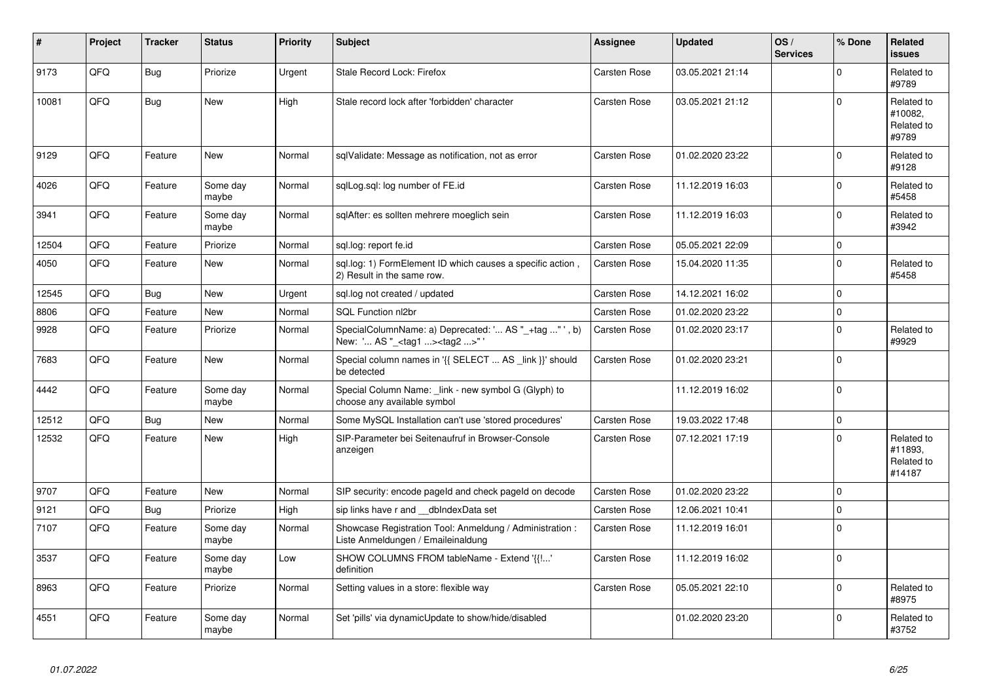| #     | Project | <b>Tracker</b> | <b>Status</b>     | <b>Priority</b> | <b>Subject</b>                                                                                     | Assignee            | <b>Updated</b>   | OS/<br><b>Services</b> | % Done      | Related<br><b>issues</b>                      |
|-------|---------|----------------|-------------------|-----------------|----------------------------------------------------------------------------------------------------|---------------------|------------------|------------------------|-------------|-----------------------------------------------|
| 9173  | QFQ     | Bug            | Priorize          | Urgent          | <b>Stale Record Lock: Firefox</b>                                                                  | Carsten Rose        | 03.05.2021 21:14 |                        | $\mathbf 0$ | Related to<br>#9789                           |
| 10081 | QFQ     | <b>Bug</b>     | <b>New</b>        | High            | Stale record lock after 'forbidden' character                                                      | Carsten Rose        | 03.05.2021 21:12 |                        | $\mathbf 0$ | Related to<br>#10082.<br>Related to<br>#9789  |
| 9129  | QFQ     | Feature        | <b>New</b>        | Normal          | sqlValidate: Message as notification, not as error                                                 | Carsten Rose        | 01.02.2020 23:22 |                        | $\Omega$    | Related to<br>#9128                           |
| 4026  | QFQ     | Feature        | Some day<br>maybe | Normal          | sqlLog.sql: log number of FE.id                                                                    | Carsten Rose        | 11.12.2019 16:03 |                        | $\mathbf 0$ | Related to<br>#5458                           |
| 3941  | QFQ     | Feature        | Some day<br>maybe | Normal          | sglAfter: es sollten mehrere moeglich sein                                                         | Carsten Rose        | 11.12.2019 16:03 |                        | $\pmb{0}$   | Related to<br>#3942                           |
| 12504 | QFQ     | Feature        | Priorize          | Normal          | sql.log: report fe.id                                                                              | Carsten Rose        | 05.05.2021 22:09 |                        | $\mathbf 0$ |                                               |
| 4050  | QFQ     | Feature        | New               | Normal          | sql.log: 1) FormElement ID which causes a specific action,<br>2) Result in the same row.           | Carsten Rose        | 15.04.2020 11:35 |                        | $\pmb{0}$   | Related to<br>#5458                           |
| 12545 | QFQ     | Bug            | <b>New</b>        | Urgent          | sql.log not created / updated                                                                      | Carsten Rose        | 14.12.2021 16:02 |                        | $\mathbf 0$ |                                               |
| 8806  | QFQ     | Feature        | <b>New</b>        | Normal          | SQL Function nl2br                                                                                 | Carsten Rose        | 01.02.2020 23:22 |                        | $\pmb{0}$   |                                               |
| 9928  | QFQ     | Feature        | Priorize          | Normal          | SpecialColumnName: a) Deprecated: ' AS "_+tag " ', b)<br>New: ' AS "_ <tag1><tag2>"'</tag2></tag1> | <b>Carsten Rose</b> | 01.02.2020 23:17 |                        | $\Omega$    | Related to<br>#9929                           |
| 7683  | QFQ     | Feature        | <b>New</b>        | Normal          | Special column names in '{{ SELECT  AS _link }}' should<br>be detected                             | Carsten Rose        | 01.02.2020 23:21 |                        | $\mathbf 0$ |                                               |
| 4442  | QFQ     | Feature        | Some day<br>maybe | Normal          | Special Column Name: link - new symbol G (Glyph) to<br>choose any available symbol                 |                     | 11.12.2019 16:02 |                        | $\mathbf 0$ |                                               |
| 12512 | QFQ     | <b>Bug</b>     | <b>New</b>        | Normal          | Some MySQL Installation can't use 'stored procedures'                                              | Carsten Rose        | 19.03.2022 17:48 |                        | $\mathbf 0$ |                                               |
| 12532 | QFQ     | Feature        | New               | High            | SIP-Parameter bei Seitenaufruf in Browser-Console<br>anzeigen                                      | Carsten Rose        | 07.12.2021 17:19 |                        | $\mathbf 0$ | Related to<br>#11893,<br>Related to<br>#14187 |
| 9707  | QFQ     | Feature        | <b>New</b>        | Normal          | SIP security: encode pageld and check pageld on decode                                             | Carsten Rose        | 01.02.2020 23:22 |                        | $\Omega$    |                                               |
| 9121  | QFQ     | <b>Bug</b>     | Priorize          | High            | sip links have r and dblndexData set                                                               | Carsten Rose        | 12.06.2021 10:41 |                        | $\mathbf 0$ |                                               |
| 7107  | QFQ     | Feature        | Some day<br>maybe | Normal          | Showcase Registration Tool: Anmeldung / Administration :<br>Liste Anmeldungen / Emaileinaldung     | Carsten Rose        | 11.12.2019 16:01 |                        | $\Omega$    |                                               |
| 3537  | QFQ     | Feature        | Some day<br>maybe | Low             | SHOW COLUMNS FROM tableName - Extend '{{!'<br>definition                                           | Carsten Rose        | 11.12.2019 16:02 |                        | $\mathbf 0$ |                                               |
| 8963  | QFQ     | Feature        | Priorize          | Normal          | Setting values in a store: flexible way                                                            | Carsten Rose        | 05.05.2021 22:10 |                        | $\mathbf 0$ | Related to<br>#8975                           |
| 4551  | QFQ     | Feature        | Some day<br>maybe | Normal          | Set 'pills' via dynamicUpdate to show/hide/disabled                                                |                     | 01.02.2020 23:20 |                        | $\Omega$    | Related to<br>#3752                           |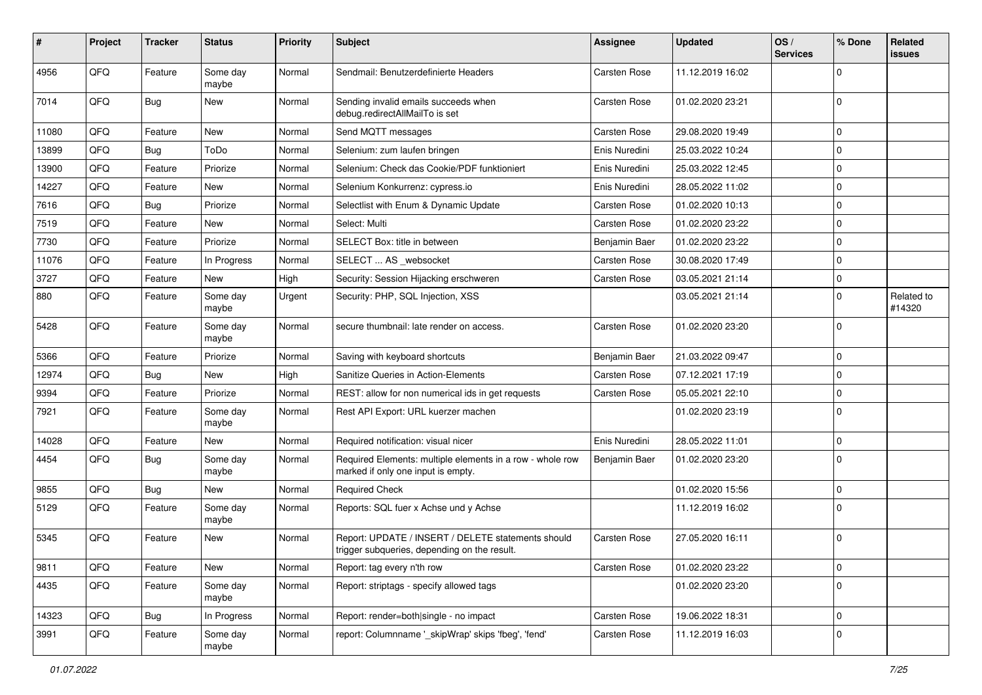| #     | Project | <b>Tracker</b> | <b>Status</b>     | <b>Priority</b> | Subject                                                                                            | <b>Assignee</b> | <b>Updated</b>   | OS/<br><b>Services</b> | % Done      | Related<br><b>issues</b> |
|-------|---------|----------------|-------------------|-----------------|----------------------------------------------------------------------------------------------------|-----------------|------------------|------------------------|-------------|--------------------------|
| 4956  | QFQ     | Feature        | Some day<br>maybe | Normal          | Sendmail: Benutzerdefinierte Headers                                                               | Carsten Rose    | 11.12.2019 16:02 |                        | 0           |                          |
| 7014  | QFQ     | Bug            | New               | Normal          | Sending invalid emails succeeds when<br>debug.redirectAllMailTo is set                             | Carsten Rose    | 01.02.2020 23:21 |                        | $\Omega$    |                          |
| 11080 | QFQ     | Feature        | <b>New</b>        | Normal          | Send MQTT messages                                                                                 | Carsten Rose    | 29.08.2020 19:49 |                        | 0           |                          |
| 13899 | QFQ     | <b>Bug</b>     | ToDo              | Normal          | Selenium: zum laufen bringen                                                                       | Enis Nuredini   | 25.03.2022 10:24 |                        | 0           |                          |
| 13900 | QFQ     | Feature        | Priorize          | Normal          | Selenium: Check das Cookie/PDF funktioniert                                                        | Enis Nuredini   | 25.03.2022 12:45 |                        | 0           |                          |
| 14227 | QFQ     | Feature        | New               | Normal          | Selenium Konkurrenz: cypress.io                                                                    | Enis Nuredini   | 28.05.2022 11:02 |                        | 0           |                          |
| 7616  | QFQ     | Bug            | Priorize          | Normal          | Selectlist with Enum & Dynamic Update                                                              | Carsten Rose    | 01.02.2020 10:13 |                        | $\Omega$    |                          |
| 7519  | QFQ     | Feature        | New               | Normal          | Select: Multi                                                                                      | Carsten Rose    | 01.02.2020 23:22 |                        | $\Omega$    |                          |
| 7730  | QFQ     | Feature        | Priorize          | Normal          | SELECT Box: title in between                                                                       | Benjamin Baer   | 01.02.2020 23:22 |                        | 0           |                          |
| 11076 | QFQ     | Feature        | In Progress       | Normal          | SELECT  AS _websocket                                                                              | Carsten Rose    | 30.08.2020 17:49 |                        | $\Omega$    |                          |
| 3727  | QFQ     | Feature        | New               | High            | Security: Session Hijacking erschweren                                                             | Carsten Rose    | 03.05.2021 21:14 |                        | 0           |                          |
| 880   | QFQ     | Feature        | Some day<br>maybe | Urgent          | Security: PHP, SQL Injection, XSS                                                                  |                 | 03.05.2021 21:14 |                        | $\Omega$    | Related to<br>#14320     |
| 5428  | QFQ     | Feature        | Some day<br>maybe | Normal          | secure thumbnail: late render on access.                                                           | Carsten Rose    | 01.02.2020 23:20 |                        | 0           |                          |
| 5366  | QFQ     | Feature        | Priorize          | Normal          | Saving with keyboard shortcuts                                                                     | Benjamin Baer   | 21.03.2022 09:47 |                        | 0           |                          |
| 12974 | QFQ     | <b>Bug</b>     | New               | High            | Sanitize Queries in Action-Elements                                                                | Carsten Rose    | 07.12.2021 17:19 |                        | $\Omega$    |                          |
| 9394  | QFQ     | Feature        | Priorize          | Normal          | REST: allow for non numerical ids in get requests                                                  | Carsten Rose    | 05.05.2021 22:10 |                        | 0           |                          |
| 7921  | QFQ     | Feature        | Some day<br>maybe | Normal          | Rest API Export: URL kuerzer machen                                                                |                 | 01.02.2020 23:19 |                        | 0           |                          |
| 14028 | QFQ     | Feature        | <b>New</b>        | Normal          | Required notification: visual nicer                                                                | Enis Nuredini   | 28.05.2022 11:01 |                        | 0           |                          |
| 4454  | QFQ     | Bug            | Some day<br>maybe | Normal          | Required Elements: multiple elements in a row - whole row<br>marked if only one input is empty.    | Benjamin Baer   | 01.02.2020 23:20 |                        | $\Omega$    |                          |
| 9855  | QFQ     | Bug            | <b>New</b>        | Normal          | <b>Required Check</b>                                                                              |                 | 01.02.2020 15:56 |                        | 0           |                          |
| 5129  | QFQ     | Feature        | Some day<br>maybe | Normal          | Reports: SQL fuer x Achse und y Achse                                                              |                 | 11.12.2019 16:02 |                        | $\Omega$    |                          |
| 5345  | QFQ     | Feature        | <b>New</b>        | Normal          | Report: UPDATE / INSERT / DELETE statements should<br>trigger subqueries, depending on the result. | Carsten Rose    | 27.05.2020 16:11 |                        | $\Omega$    |                          |
| 9811  | QFQ     | Feature        | New               | Normal          | Report: tag every n'th row                                                                         | Carsten Rose    | 01.02.2020 23:22 |                        | $\mathbf 0$ |                          |
| 4435  | QFQ     | Feature        | Some day<br>maybe | Normal          | Report: striptags - specify allowed tags                                                           |                 | 01.02.2020 23:20 |                        | 0           |                          |
| 14323 | QFQ     | Bug            | In Progress       | Normal          | Report: render=both single - no impact                                                             | Carsten Rose    | 19.06.2022 18:31 |                        | 0           |                          |
| 3991  | QFQ     | Feature        | Some day<br>maybe | Normal          | report: Columnname '_skipWrap' skips 'fbeg', 'fend'                                                | Carsten Rose    | 11.12.2019 16:03 |                        | 0           |                          |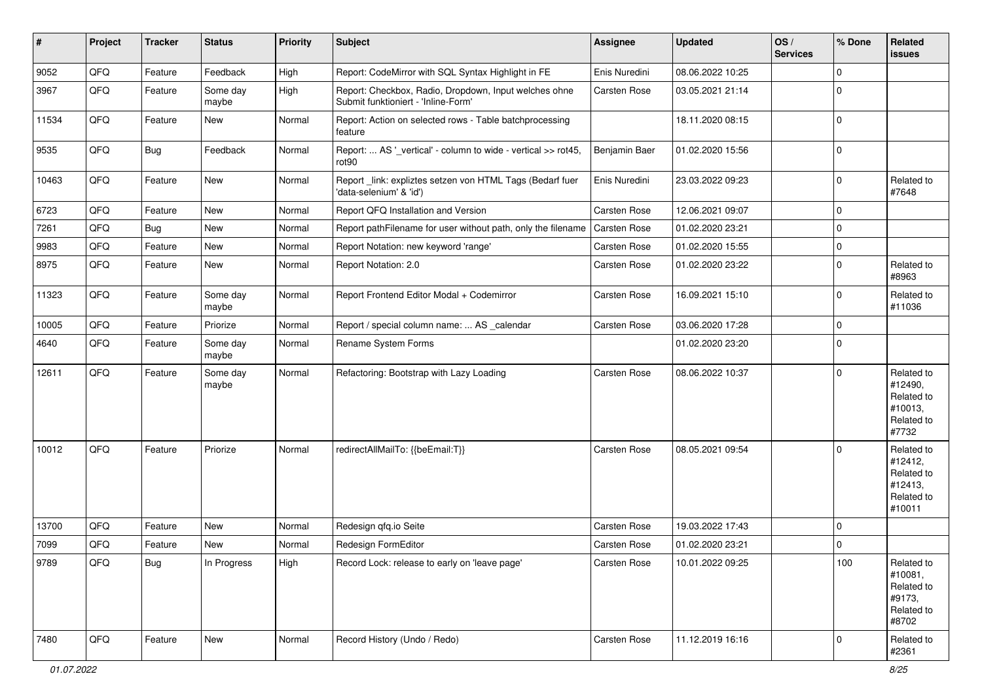| #     | Project | <b>Tracker</b> | <b>Status</b>     | <b>Priority</b> | Subject                                                                                      | <b>Assignee</b> | <b>Updated</b>   | OS/<br><b>Services</b> | % Done      | Related<br><b>issues</b>                                               |
|-------|---------|----------------|-------------------|-----------------|----------------------------------------------------------------------------------------------|-----------------|------------------|------------------------|-------------|------------------------------------------------------------------------|
| 9052  | QFQ     | Feature        | Feedback          | High            | Report: CodeMirror with SQL Syntax Highlight in FE                                           | Enis Nuredini   | 08.06.2022 10:25 |                        | $\mathbf 0$ |                                                                        |
| 3967  | QFQ     | Feature        | Some day<br>maybe | High            | Report: Checkbox, Radio, Dropdown, Input welches ohne<br>Submit funktioniert - 'Inline-Form' | Carsten Rose    | 03.05.2021 21:14 |                        | $\mathbf 0$ |                                                                        |
| 11534 | QFQ     | Feature        | New               | Normal          | Report: Action on selected rows - Table batchprocessing<br>feature                           |                 | 18.11.2020 08:15 |                        | $\mathbf 0$ |                                                                        |
| 9535  | QFQ     | Bug            | Feedback          | Normal          | Report:  AS '_vertical' - column to wide - vertical >> rot45,<br>rot90                       | Benjamin Baer   | 01.02.2020 15:56 |                        | $\mathbf 0$ |                                                                        |
| 10463 | QFQ     | Feature        | New               | Normal          | Report_link: expliztes setzen von HTML Tags (Bedarf fuer<br>'data-selenium' & 'id')          | Enis Nuredini   | 23.03.2022 09:23 |                        | $\mathbf 0$ | Related to<br>#7648                                                    |
| 6723  | QFQ     | Feature        | New               | Normal          | Report QFQ Installation and Version                                                          | Carsten Rose    | 12.06.2021 09:07 |                        | $\mathbf 0$ |                                                                        |
| 7261  | QFQ     | Bug            | <b>New</b>        | Normal          | Report pathFilename for user without path, only the filename                                 | Carsten Rose    | 01.02.2020 23:21 |                        | $\mathbf 0$ |                                                                        |
| 9983  | QFQ     | Feature        | <b>New</b>        | Normal          | Report Notation: new keyword 'range'                                                         | Carsten Rose    | 01.02.2020 15:55 |                        | $\mathbf 0$ |                                                                        |
| 8975  | QFQ     | Feature        | New               | Normal          | Report Notation: 2.0                                                                         | Carsten Rose    | 01.02.2020 23:22 |                        | $\mathbf 0$ | Related to<br>#8963                                                    |
| 11323 | QFQ     | Feature        | Some day<br>maybe | Normal          | Report Frontend Editor Modal + Codemirror                                                    | Carsten Rose    | 16.09.2021 15:10 |                        | $\mathbf 0$ | Related to<br>#11036                                                   |
| 10005 | QFQ     | Feature        | Priorize          | Normal          | Report / special column name:  AS _calendar                                                  | Carsten Rose    | 03.06.2020 17:28 |                        | $\mathbf 0$ |                                                                        |
| 4640  | QFQ     | Feature        | Some day<br>maybe | Normal          | Rename System Forms                                                                          |                 | 01.02.2020 23:20 |                        | $\mathbf 0$ |                                                                        |
| 12611 | QFQ     | Feature        | Some day<br>maybe | Normal          | Refactoring: Bootstrap with Lazy Loading                                                     | Carsten Rose    | 08.06.2022 10:37 |                        | $\mathbf 0$ | Related to<br>#12490,<br>Related to<br>#10013,<br>Related to<br>#7732  |
| 10012 | QFQ     | Feature        | Priorize          | Normal          | redirectAllMailTo: {{beEmail:T}}                                                             | Carsten Rose    | 08.05.2021 09:54 |                        | $\mathbf 0$ | Related to<br>#12412,<br>Related to<br>#12413,<br>Related to<br>#10011 |
| 13700 | QFQ     | Feature        | <b>New</b>        | Normal          | Redesign qfq.io Seite                                                                        | Carsten Rose    | 19.03.2022 17:43 |                        | $\mathbf 0$ |                                                                        |
| 7099  | QFQ     | Feature        | New               | Normal          | Redesign FormEditor                                                                          | Carsten Rose    | 01.02.2020 23:21 |                        | $\mathbf 0$ |                                                                        |
| 9789  | QFQ     | Bug            | In Progress       | High            | Record Lock: release to early on 'leave page'                                                | Carsten Rose    | 10.01.2022 09:25 |                        | 100         | Related to<br>#10081,<br>Related to<br>#9173,<br>Related to<br>#8702   |
| 7480  | QFQ     | Feature        | New               | Normal          | Record History (Undo / Redo)                                                                 | Carsten Rose    | 11.12.2019 16:16 |                        | $\mathbf 0$ | Related to<br>#2361                                                    |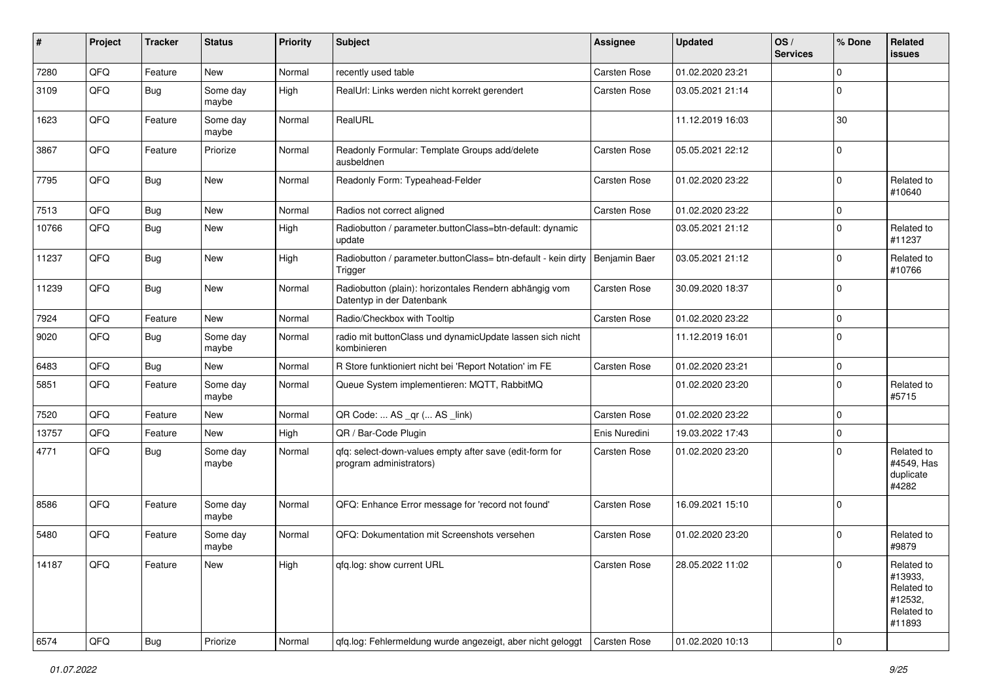| #     | Project | <b>Tracker</b> | <b>Status</b>     | <b>Priority</b> | Subject                                                                             | <b>Assignee</b>     | <b>Updated</b>   | OS/<br><b>Services</b> | % Done         | Related<br><b>issues</b>                                               |
|-------|---------|----------------|-------------------|-----------------|-------------------------------------------------------------------------------------|---------------------|------------------|------------------------|----------------|------------------------------------------------------------------------|
| 7280  | QFQ     | Feature        | New               | Normal          | recently used table                                                                 | Carsten Rose        | 01.02.2020 23:21 |                        | $\mathbf 0$    |                                                                        |
| 3109  | QFQ     | <b>Bug</b>     | Some day<br>maybe | High            | RealUrl: Links werden nicht korrekt gerendert                                       | Carsten Rose        | 03.05.2021 21:14 |                        | $\mathbf 0$    |                                                                        |
| 1623  | QFQ     | Feature        | Some day<br>maybe | Normal          | RealURL                                                                             |                     | 11.12.2019 16:03 |                        | 30             |                                                                        |
| 3867  | QFQ     | Feature        | Priorize          | Normal          | Readonly Formular: Template Groups add/delete<br>ausbeldnen                         | Carsten Rose        | 05.05.2021 22:12 |                        | $\overline{0}$ |                                                                        |
| 7795  | QFQ     | Bug            | New               | Normal          | Readonly Form: Typeahead-Felder                                                     | Carsten Rose        | 01.02.2020 23:22 |                        | $\mathbf 0$    | Related to<br>#10640                                                   |
| 7513  | QFQ     | Bug            | New               | Normal          | Radios not correct aligned                                                          | Carsten Rose        | 01.02.2020 23:22 |                        | $\mathbf 0$    |                                                                        |
| 10766 | QFQ     | Bug            | New               | High            | Radiobutton / parameter.buttonClass=btn-default: dynamic<br>update                  |                     | 03.05.2021 21:12 |                        | $\overline{0}$ | Related to<br>#11237                                                   |
| 11237 | QFQ     | Bug            | New               | High            | Radiobutton / parameter.buttonClass= btn-default - kein dirty<br>Trigger            | Benjamin Baer       | 03.05.2021 21:12 |                        | $\mathbf 0$    | Related to<br>#10766                                                   |
| 11239 | QFQ     | Bug            | New               | Normal          | Radiobutton (plain): horizontales Rendern abhängig vom<br>Datentyp in der Datenbank | Carsten Rose        | 30.09.2020 18:37 |                        | $\overline{0}$ |                                                                        |
| 7924  | QFQ     | Feature        | New               | Normal          | Radio/Checkbox with Tooltip                                                         | Carsten Rose        | 01.02.2020 23:22 |                        | $\pmb{0}$      |                                                                        |
| 9020  | QFQ     | <b>Bug</b>     | Some day<br>maybe | Normal          | radio mit buttonClass und dynamicUpdate lassen sich nicht<br>kombinieren            |                     | 11.12.2019 16:01 |                        | $\overline{0}$ |                                                                        |
| 6483  | QFQ     | Bug            | <b>New</b>        | Normal          | R Store funktioniert nicht bei 'Report Notation' im FE                              | <b>Carsten Rose</b> | 01.02.2020 23:21 |                        | $\overline{0}$ |                                                                        |
| 5851  | QFQ     | Feature        | Some day<br>maybe | Normal          | Queue System implementieren: MQTT, RabbitMQ                                         |                     | 01.02.2020 23:20 |                        | $\overline{0}$ | Related to<br>#5715                                                    |
| 7520  | QFQ     | Feature        | New               | Normal          | QR Code:  AS _qr ( AS _link)                                                        | Carsten Rose        | 01.02.2020 23:22 |                        | $\mathbf 0$    |                                                                        |
| 13757 | QFQ     | Feature        | New               | High            | QR / Bar-Code Plugin                                                                | Enis Nuredini       | 19.03.2022 17:43 |                        | $\mathbf 0$    |                                                                        |
| 4771  | QFQ     | Bug            | Some day<br>maybe | Normal          | qfq: select-down-values empty after save (edit-form for<br>program administrators)  | Carsten Rose        | 01.02.2020 23:20 |                        | $\overline{0}$ | Related to<br>#4549, Has<br>duplicate<br>#4282                         |
| 8586  | QFQ     | Feature        | Some day<br>maybe | Normal          | QFQ: Enhance Error message for 'record not found'                                   | Carsten Rose        | 16.09.2021 15:10 |                        | $\overline{0}$ |                                                                        |
| 5480  | QFQ     | Feature        | Some day<br>maybe | Normal          | QFQ: Dokumentation mit Screenshots versehen                                         | Carsten Rose        | 01.02.2020 23:20 |                        | $\Omega$       | Related to<br>#9879                                                    |
| 14187 | QFQ     | Feature        | New               | High            | qfq.log: show current URL                                                           | Carsten Rose        | 28.05.2022 11:02 |                        | $\mathbf 0$    | Related to<br>#13933,<br>Related to<br>#12532,<br>Related to<br>#11893 |
| 6574  | QFQ     | <b>Bug</b>     | Priorize          | Normal          | qfq.log: Fehlermeldung wurde angezeigt, aber nicht geloggt                          | Carsten Rose        | 01.02.2020 10:13 |                        | $\mathbf 0$    |                                                                        |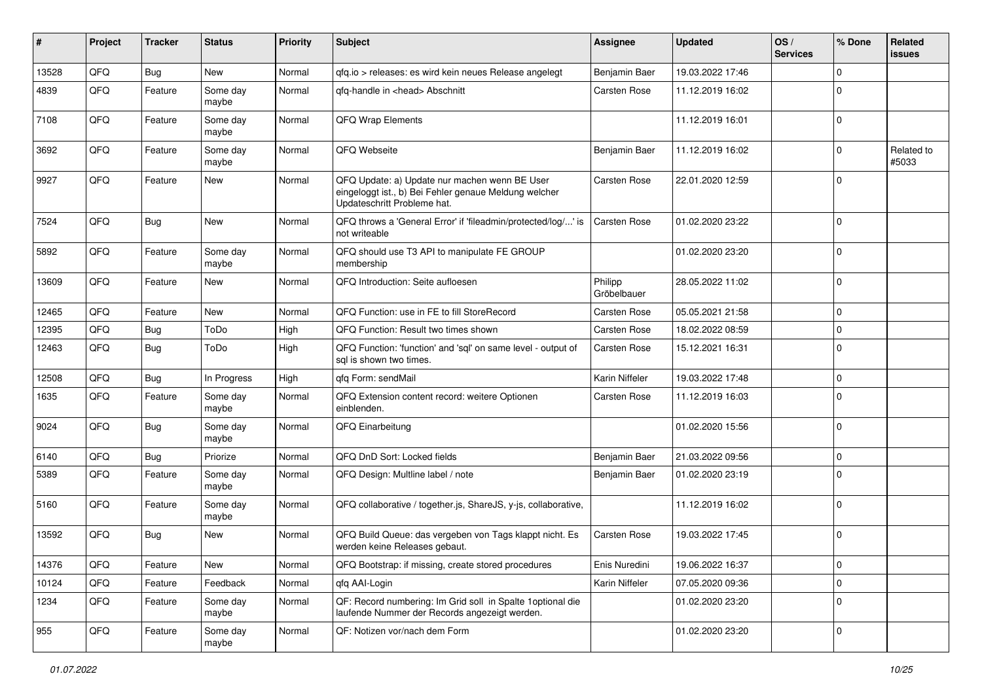| #     | Project | <b>Tracker</b> | <b>Status</b>     | <b>Priority</b> | <b>Subject</b>                                                                                                                        | <b>Assignee</b>        | <b>Updated</b>   | OS/<br><b>Services</b> | % Done         | Related<br><b>issues</b> |
|-------|---------|----------------|-------------------|-----------------|---------------------------------------------------------------------------------------------------------------------------------------|------------------------|------------------|------------------------|----------------|--------------------------|
| 13528 | QFQ     | <b>Bug</b>     | <b>New</b>        | Normal          | qfq.io > releases: es wird kein neues Release angelegt                                                                                | Benjamin Baer          | 19.03.2022 17:46 |                        | $\mathbf 0$    |                          |
| 4839  | QFQ     | Feature        | Some day<br>maybe | Normal          | qfq-handle in <head> Abschnitt</head>                                                                                                 | Carsten Rose           | 11.12.2019 16:02 |                        | $\Omega$       |                          |
| 7108  | QFQ     | Feature        | Some day<br>maybe | Normal          | <b>QFQ Wrap Elements</b>                                                                                                              |                        | 11.12.2019 16:01 |                        | $\overline{0}$ |                          |
| 3692  | QFQ     | Feature        | Some day<br>maybe | Normal          | QFQ Webseite                                                                                                                          | Benjamin Baer          | 11.12.2019 16:02 |                        | $\mathbf 0$    | Related to<br>#5033      |
| 9927  | QFQ     | Feature        | <b>New</b>        | Normal          | QFQ Update: a) Update nur machen wenn BE User<br>eingeloggt ist., b) Bei Fehler genaue Meldung welcher<br>Updateschritt Probleme hat. | Carsten Rose           | 22.01.2020 12:59 |                        | $\overline{0}$ |                          |
| 7524  | QFQ     | Bug            | <b>New</b>        | Normal          | QFQ throws a 'General Error' if 'fileadmin/protected/log/' is<br>not writeable                                                        | Carsten Rose           | 01.02.2020 23:22 |                        | $\overline{0}$ |                          |
| 5892  | QFQ     | Feature        | Some day<br>maybe | Normal          | QFQ should use T3 API to manipulate FE GROUP<br>membership                                                                            |                        | 01.02.2020 23:20 |                        | $\mathbf 0$    |                          |
| 13609 | QFQ     | Feature        | New               | Normal          | QFQ Introduction: Seite aufloesen                                                                                                     | Philipp<br>Gröbelbauer | 28.05.2022 11:02 |                        | $\overline{0}$ |                          |
| 12465 | QFQ     | Feature        | <b>New</b>        | Normal          | QFQ Function: use in FE to fill StoreRecord                                                                                           | <b>Carsten Rose</b>    | 05.05.2021 21:58 |                        | $\overline{0}$ |                          |
| 12395 | QFQ     | Bug            | ToDo              | High            | QFQ Function: Result two times shown                                                                                                  | Carsten Rose           | 18.02.2022 08:59 |                        | $\mathbf 0$    |                          |
| 12463 | QFQ     | Bug            | ToDo              | High            | QFQ Function: 'function' and 'sql' on same level - output of<br>sal is shown two times.                                               | Carsten Rose           | 15.12.2021 16:31 |                        | $\overline{0}$ |                          |
| 12508 | QFQ     | Bug            | In Progress       | High            | qfq Form: sendMail                                                                                                                    | Karin Niffeler         | 19.03.2022 17:48 |                        | $\mathbf 0$    |                          |
| 1635  | QFQ     | Feature        | Some day<br>maybe | Normal          | QFQ Extension content record: weitere Optionen<br>einblenden.                                                                         | <b>Carsten Rose</b>    | 11.12.2019 16:03 |                        | $\overline{0}$ |                          |
| 9024  | QFQ     | <b>Bug</b>     | Some day<br>maybe | Normal          | QFQ Einarbeitung                                                                                                                      |                        | 01.02.2020 15:56 |                        | $\mathbf 0$    |                          |
| 6140  | QFQ     | <b>Bug</b>     | Priorize          | Normal          | QFQ DnD Sort: Locked fields                                                                                                           | Benjamin Baer          | 21.03.2022 09:56 |                        | $\mathbf 0$    |                          |
| 5389  | QFQ     | Feature        | Some day<br>maybe | Normal          | QFQ Design: Multline label / note                                                                                                     | Benjamin Baer          | 01.02.2020 23:19 |                        | $\mathbf 0$    |                          |
| 5160  | QFQ     | Feature        | Some day<br>maybe | Normal          | QFQ collaborative / together.js, ShareJS, y-js, collaborative,                                                                        |                        | 11.12.2019 16:02 |                        | $\overline{0}$ |                          |
| 13592 | QFQ     | Bug            | New               | Normal          | QFQ Build Queue: das vergeben von Tags klappt nicht. Es<br>werden keine Releases gebaut.                                              | Carsten Rose           | 19.03.2022 17:45 |                        | $\overline{0}$ |                          |
| 14376 | QFO     | Feature        | New               | Normal          | QFQ Bootstrap: if missing, create stored procedures                                                                                   | Enis Nuredini          | 19.06.2022 16:37 |                        | $\pmb{0}$      |                          |
| 10124 | QFQ     | Feature        | Feedback          | Normal          | qfq AAI-Login                                                                                                                         | Karin Niffeler         | 07.05.2020 09:36 |                        | $\mathbf 0$    |                          |
| 1234  | QFQ     | Feature        | Some day<br>maybe | Normal          | QF: Record numbering: Im Grid soll in Spalte 1 optional die<br>laufende Nummer der Records angezeigt werden.                          |                        | 01.02.2020 23:20 |                        | $\mathbf 0$    |                          |
| 955   | QFG     | Feature        | Some day<br>maybe | Normal          | QF: Notizen vor/nach dem Form                                                                                                         |                        | 01.02.2020 23:20 |                        | $\mathbf 0$    |                          |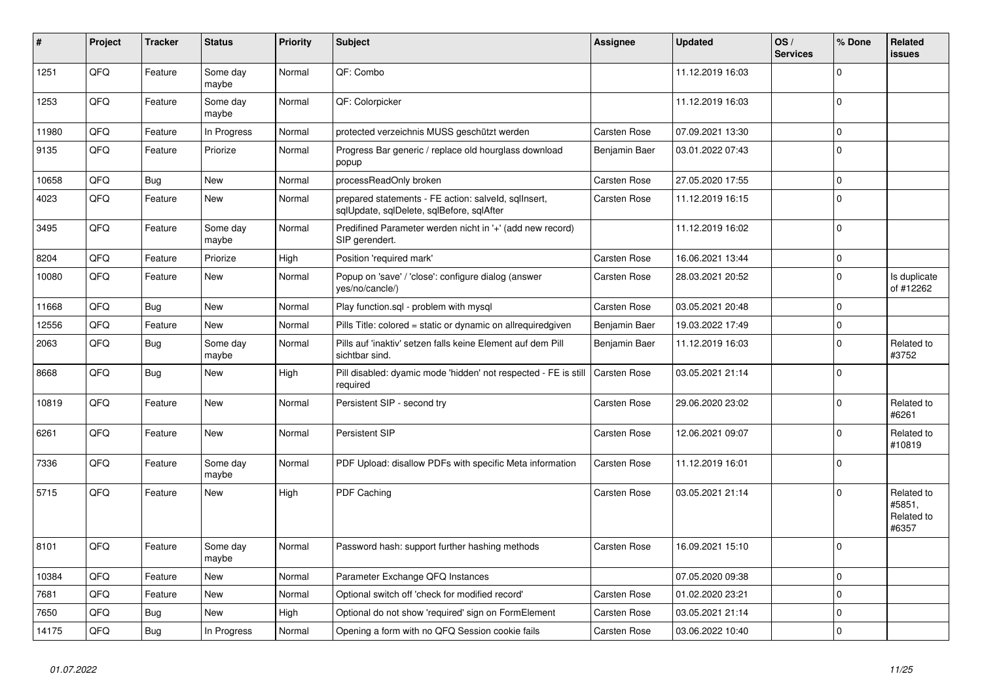| #     | Project | <b>Tracker</b> | <b>Status</b>     | <b>Priority</b> | <b>Subject</b>                                                                                    | Assignee            | <b>Updated</b>   | OS/<br><b>Services</b> | % Done         | Related<br><b>issues</b>                    |
|-------|---------|----------------|-------------------|-----------------|---------------------------------------------------------------------------------------------------|---------------------|------------------|------------------------|----------------|---------------------------------------------|
| 1251  | QFQ     | Feature        | Some day<br>maybe | Normal          | QF: Combo                                                                                         |                     | 11.12.2019 16:03 |                        | $\overline{0}$ |                                             |
| 1253  | QFQ     | Feature        | Some day<br>maybe | Normal          | QF: Colorpicker                                                                                   |                     | 11.12.2019 16:03 |                        | $\overline{0}$ |                                             |
| 11980 | QFQ     | Feature        | In Progress       | Normal          | protected verzeichnis MUSS geschützt werden                                                       | Carsten Rose        | 07.09.2021 13:30 |                        | $\pmb{0}$      |                                             |
| 9135  | QFQ     | Feature        | Priorize          | Normal          | Progress Bar generic / replace old hourglass download<br>popup                                    | Benjamin Baer       | 03.01.2022 07:43 |                        | $\mathbf 0$    |                                             |
| 10658 | QFQ     | <b>Bug</b>     | New               | Normal          | processReadOnly broken                                                                            | Carsten Rose        | 27.05.2020 17:55 |                        | $\mathbf 0$    |                                             |
| 4023  | QFQ     | Feature        | New               | Normal          | prepared statements - FE action: salveld, sqllnsert,<br>sqlUpdate, sqlDelete, sqlBefore, sqlAfter | Carsten Rose        | 11.12.2019 16:15 |                        | $\overline{0}$ |                                             |
| 3495  | QFQ     | Feature        | Some day<br>maybe | Normal          | Predifined Parameter werden nicht in '+' (add new record)<br>SIP gerendert.                       |                     | 11.12.2019 16:02 |                        | $\Omega$       |                                             |
| 8204  | QFQ     | Feature        | Priorize          | High            | Position 'required mark'                                                                          | Carsten Rose        | 16.06.2021 13:44 |                        | $\mathbf 0$    |                                             |
| 10080 | QFQ     | Feature        | <b>New</b>        | Normal          | Popup on 'save' / 'close': configure dialog (answer<br>yes/no/cancle/)                            | Carsten Rose        | 28.03.2021 20:52 |                        | $\overline{0}$ | Is duplicate<br>of #12262                   |
| 11668 | QFQ     | Bug            | <b>New</b>        | Normal          | Play function.sql - problem with mysql                                                            | Carsten Rose        | 03.05.2021 20:48 |                        | $\mathbf 0$    |                                             |
| 12556 | QFQ     | Feature        | <b>New</b>        | Normal          | Pills Title: colored = static or dynamic on allrequiredgiven                                      | Benjamin Baer       | 19.03.2022 17:49 |                        | $\pmb{0}$      |                                             |
| 2063  | QFQ     | Bug            | Some day<br>maybe | Normal          | Pills auf 'inaktiv' setzen falls keine Element auf dem Pill<br>sichtbar sind.                     | Benjamin Baer       | 11.12.2019 16:03 |                        | $\overline{0}$ | Related to<br>#3752                         |
| 8668  | QFQ     | <b>Bug</b>     | <b>New</b>        | High            | Pill disabled: dyamic mode 'hidden' not respected - FE is still<br>required                       | Carsten Rose        | 03.05.2021 21:14 |                        | $\Omega$       |                                             |
| 10819 | QFQ     | Feature        | New               | Normal          | Persistent SIP - second try                                                                       | Carsten Rose        | 29.06.2020 23:02 |                        | $\mathbf 0$    | Related to<br>#6261                         |
| 6261  | QFQ     | Feature        | New               | Normal          | <b>Persistent SIP</b>                                                                             | <b>Carsten Rose</b> | 12.06.2021 09:07 |                        | $\mathbf 0$    | Related to<br>#10819                        |
| 7336  | QFQ     | Feature        | Some day<br>maybe | Normal          | PDF Upload: disallow PDFs with specific Meta information                                          | <b>Carsten Rose</b> | 11.12.2019 16:01 |                        | $\Omega$       |                                             |
| 5715  | QFQ     | Feature        | New               | High            | PDF Caching                                                                                       | Carsten Rose        | 03.05.2021 21:14 |                        | $\mathbf 0$    | Related to<br>#5851,<br>Related to<br>#6357 |
| 8101  | QFQ     | Feature        | Some day<br>maybe | Normal          | Password hash: support further hashing methods                                                    | Carsten Rose        | 16.09.2021 15:10 |                        | $\Omega$       |                                             |
| 10384 | QFQ     | Feature        | New               | Normal          | Parameter Exchange QFQ Instances                                                                  |                     | 07.05.2020 09:38 |                        | $\mathbf 0$    |                                             |
| 7681  | QFQ     | Feature        | New               | Normal          | Optional switch off 'check for modified record'                                                   | Carsten Rose        | 01.02.2020 23:21 |                        | $\mathbf 0$    |                                             |
| 7650  | QFQ     | Bug            | <b>New</b>        | High            | Optional do not show 'required' sign on FormElement                                               | Carsten Rose        | 03.05.2021 21:14 |                        | $\overline{0}$ |                                             |
| 14175 | QFQ     | Bug            | In Progress       | Normal          | Opening a form with no QFQ Session cookie fails                                                   | <b>Carsten Rose</b> | 03.06.2022 10:40 |                        | $\overline{0}$ |                                             |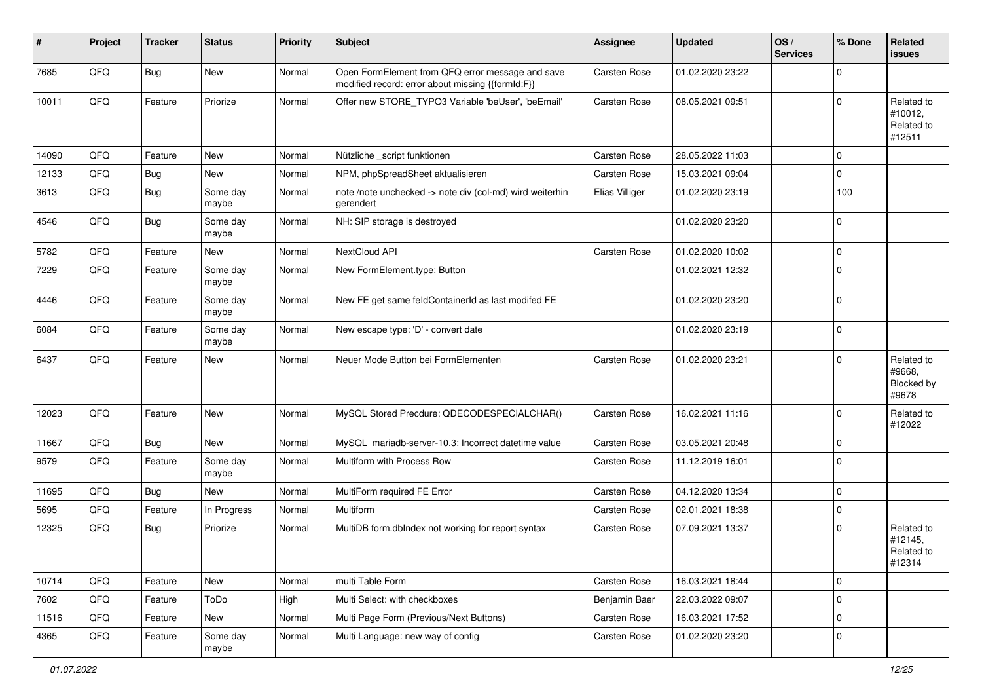| #     | Project | <b>Tracker</b> | <b>Status</b>     | <b>Priority</b> | <b>Subject</b>                                                                                        | <b>Assignee</b> | <b>Updated</b>   | OS/<br><b>Services</b> | % Done      | Related<br><b>issues</b>                      |
|-------|---------|----------------|-------------------|-----------------|-------------------------------------------------------------------------------------------------------|-----------------|------------------|------------------------|-------------|-----------------------------------------------|
| 7685  | QFQ     | Bug            | New               | Normal          | Open FormElement from QFQ error message and save<br>modified record: error about missing {{formId:F}} | Carsten Rose    | 01.02.2020 23:22 |                        | 0           |                                               |
| 10011 | QFQ     | Feature        | Priorize          | Normal          | Offer new STORE_TYPO3 Variable 'beUser', 'beEmail'                                                    | Carsten Rose    | 08.05.2021 09:51 |                        | $\Omega$    | Related to<br>#10012,<br>Related to<br>#12511 |
| 14090 | QFQ     | Feature        | <b>New</b>        | Normal          | Nützliche _script funktionen                                                                          | Carsten Rose    | 28.05.2022 11:03 |                        | $\mathbf 0$ |                                               |
| 12133 | QFQ     | Bug            | New               | Normal          | NPM, phpSpreadSheet aktualisieren                                                                     | Carsten Rose    | 15.03.2021 09:04 |                        | 0           |                                               |
| 3613  | QFQ     | Bug            | Some day<br>maybe | Normal          | note /note unchecked -> note div (col-md) wird weiterhin<br>gerendert                                 | Elias Villiger  | 01.02.2020 23:19 |                        | 100         |                                               |
| 4546  | QFQ     | <b>Bug</b>     | Some day<br>maybe | Normal          | NH: SIP storage is destroyed                                                                          |                 | 01.02.2020 23:20 |                        | $\Omega$    |                                               |
| 5782  | QFQ     | Feature        | New               | Normal          | NextCloud API                                                                                         | Carsten Rose    | 01.02.2020 10:02 |                        | $\Omega$    |                                               |
| 7229  | QFQ     | Feature        | Some day<br>maybe | Normal          | New FormElement.type: Button                                                                          |                 | 01.02.2021 12:32 |                        | $\mathbf 0$ |                                               |
| 4446  | QFQ     | Feature        | Some day<br>maybe | Normal          | New FE get same feldContainerId as last modifed FE                                                    |                 | 01.02.2020 23:20 |                        | $\Omega$    |                                               |
| 6084  | QFQ     | Feature        | Some day<br>maybe | Normal          | New escape type: 'D' - convert date                                                                   |                 | 01.02.2020 23:19 |                        | $\Omega$    |                                               |
| 6437  | QFQ     | Feature        | New               | Normal          | Neuer Mode Button bei FormElementen                                                                   | Carsten Rose    | 01.02.2020 23:21 |                        | $\Omega$    | Related to<br>#9668,<br>Blocked by<br>#9678   |
| 12023 | QFQ     | Feature        | New               | Normal          | MySQL Stored Precdure: QDECODESPECIALCHAR()                                                           | Carsten Rose    | 16.02.2021 11:16 |                        | $\mathbf 0$ | Related to<br>#12022                          |
| 11667 | QFQ     | <b>Bug</b>     | New               | Normal          | MySQL mariadb-server-10.3: Incorrect datetime value                                                   | Carsten Rose    | 03.05.2021 20:48 |                        | $\mathbf 0$ |                                               |
| 9579  | QFQ     | Feature        | Some day<br>maybe | Normal          | Multiform with Process Row                                                                            | Carsten Rose    | 11.12.2019 16:01 |                        | $\Omega$    |                                               |
| 11695 | QFQ     | <b>Bug</b>     | New               | Normal          | MultiForm required FE Error                                                                           | Carsten Rose    | 04.12.2020 13:34 |                        | $\mathbf 0$ |                                               |
| 5695  | QFQ     | Feature        | In Progress       | Normal          | Multiform                                                                                             | Carsten Rose    | 02.01.2021 18:38 |                        | 0           |                                               |
| 12325 | QFQ     | Bug            | Priorize          | Normal          | MultiDB form.dblndex not working for report syntax                                                    | Carsten Rose    | 07.09.2021 13:37 |                        | $\Omega$    | Related to<br>#12145,<br>Related to<br>#12314 |
| 10714 | QFQ     | Feature        | New               | Normal          | multi Table Form                                                                                      | Carsten Rose    | 16.03.2021 18:44 |                        | $\mathbf 0$ |                                               |
| 7602  | QFQ     | Feature        | ToDo              | High            | Multi Select: with checkboxes                                                                         | Benjamin Baer   | 22.03.2022 09:07 |                        | $\mathbf 0$ |                                               |
| 11516 | QFQ     | Feature        | New               | Normal          | Multi Page Form (Previous/Next Buttons)                                                               | Carsten Rose    | 16.03.2021 17:52 |                        | $\mathbf 0$ |                                               |
| 4365  | QFQ     | Feature        | Some day<br>maybe | Normal          | Multi Language: new way of config                                                                     | Carsten Rose    | 01.02.2020 23:20 |                        | 0           |                                               |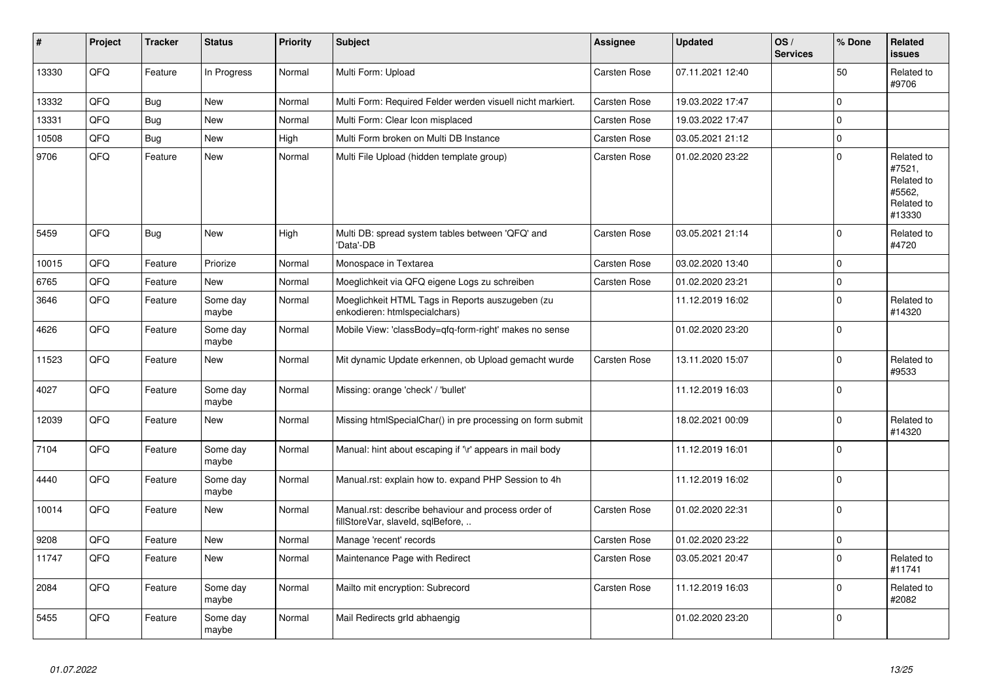| #     | Project | <b>Tracker</b> | <b>Status</b>     | <b>Priority</b> | <b>Subject</b>                                                                           | Assignee     | <b>Updated</b>   | OS/<br><b>Services</b> | % Done       | Related<br><b>issues</b>                                             |
|-------|---------|----------------|-------------------|-----------------|------------------------------------------------------------------------------------------|--------------|------------------|------------------------|--------------|----------------------------------------------------------------------|
| 13330 | QFQ     | Feature        | In Progress       | Normal          | Multi Form: Upload                                                                       | Carsten Rose | 07.11.2021 12:40 |                        | 50           | Related to<br>#9706                                                  |
| 13332 | QFQ     | Bug            | <b>New</b>        | Normal          | Multi Form: Required Felder werden visuell nicht markiert.                               | Carsten Rose | 19.03.2022 17:47 |                        | $\mathbf{0}$ |                                                                      |
| 13331 | QFQ     | Bug            | <b>New</b>        | Normal          | Multi Form: Clear Icon misplaced                                                         | Carsten Rose | 19.03.2022 17:47 |                        | $\Omega$     |                                                                      |
| 10508 | QFQ     | Bug            | New               | High            | Multi Form broken on Multi DB Instance                                                   | Carsten Rose | 03.05.2021 21:12 |                        | $\mathbf 0$  |                                                                      |
| 9706  | QFQ     | Feature        | <b>New</b>        | Normal          | Multi File Upload (hidden template group)                                                | Carsten Rose | 01.02.2020 23:22 |                        | $\mathbf{0}$ | Related to<br>#7521,<br>Related to<br>#5562,<br>Related to<br>#13330 |
| 5459  | QFQ     | Bug            | <b>New</b>        | High            | Multi DB: spread system tables between 'QFQ' and<br>'Data'-DB                            | Carsten Rose | 03.05.2021 21:14 |                        | $\mathbf{0}$ | Related to<br>#4720                                                  |
| 10015 | QFQ     | Feature        | Priorize          | Normal          | Monospace in Textarea                                                                    | Carsten Rose | 03.02.2020 13:40 |                        | $\mathbf 0$  |                                                                      |
| 6765  | QFQ     | Feature        | <b>New</b>        | Normal          | Moeglichkeit via QFQ eigene Logs zu schreiben                                            | Carsten Rose | 01.02.2020 23:21 |                        | $\mathbf{0}$ |                                                                      |
| 3646  | QFQ     | Feature        | Some day<br>maybe | Normal          | Moeglichkeit HTML Tags in Reports auszugeben (zu<br>enkodieren: htmlspecialchars)        |              | 11.12.2019 16:02 |                        | $\pmb{0}$    | Related to<br>#14320                                                 |
| 4626  | QFQ     | Feature        | Some day<br>maybe | Normal          | Mobile View: 'classBody=qfq-form-right' makes no sense                                   |              | 01.02.2020 23:20 |                        | $\mathbf{0}$ |                                                                      |
| 11523 | QFQ     | Feature        | <b>New</b>        | Normal          | Mit dynamic Update erkennen, ob Upload gemacht wurde                                     | Carsten Rose | 13.11.2020 15:07 |                        | $\mathbf{0}$ | Related to<br>#9533                                                  |
| 4027  | QFQ     | Feature        | Some day<br>maybe | Normal          | Missing: orange 'check' / 'bullet'                                                       |              | 11.12.2019 16:03 |                        | $\mathbf{0}$ |                                                                      |
| 12039 | QFQ     | Feature        | <b>New</b>        | Normal          | Missing htmlSpecialChar() in pre processing on form submit                               |              | 18.02.2021 00:09 |                        | $\mathbf 0$  | Related to<br>#14320                                                 |
| 7104  | QFQ     | Feature        | Some day<br>maybe | Normal          | Manual: hint about escaping if '\r' appears in mail body                                 |              | 11.12.2019 16:01 |                        | $\mathbf 0$  |                                                                      |
| 4440  | QFQ     | Feature        | Some day<br>maybe | Normal          | Manual.rst: explain how to. expand PHP Session to 4h                                     |              | 11.12.2019 16:02 |                        | $\mathbf{0}$ |                                                                      |
| 10014 | QFQ     | Feature        | <b>New</b>        | Normal          | Manual.rst: describe behaviour and process order of<br>fillStoreVar, slaveId, sqlBefore, | Carsten Rose | 01.02.2020 22:31 |                        | $\mathbf 0$  |                                                                      |
| 9208  | QFQ     | Feature        | <b>New</b>        | Normal          | Manage 'recent' records                                                                  | Carsten Rose | 01.02.2020 23:22 |                        | $\mathbf{0}$ |                                                                      |
| 11747 | QFQ     | Feature        | <b>New</b>        | Normal          | Maintenance Page with Redirect                                                           | Carsten Rose | 03.05.2021 20:47 |                        | $\mathbf 0$  | Related to<br>#11741                                                 |
| 2084  | QFQ     | Feature        | Some day<br>maybe | Normal          | Mailto mit encryption: Subrecord                                                         | Carsten Rose | 11.12.2019 16:03 |                        | $\mathbf 0$  | Related to<br>#2082                                                  |
| 5455  | QFQ     | Feature        | Some day<br>maybe | Normal          | Mail Redirects grId abhaengig                                                            |              | 01.02.2020 23:20 |                        | $\mathbf 0$  |                                                                      |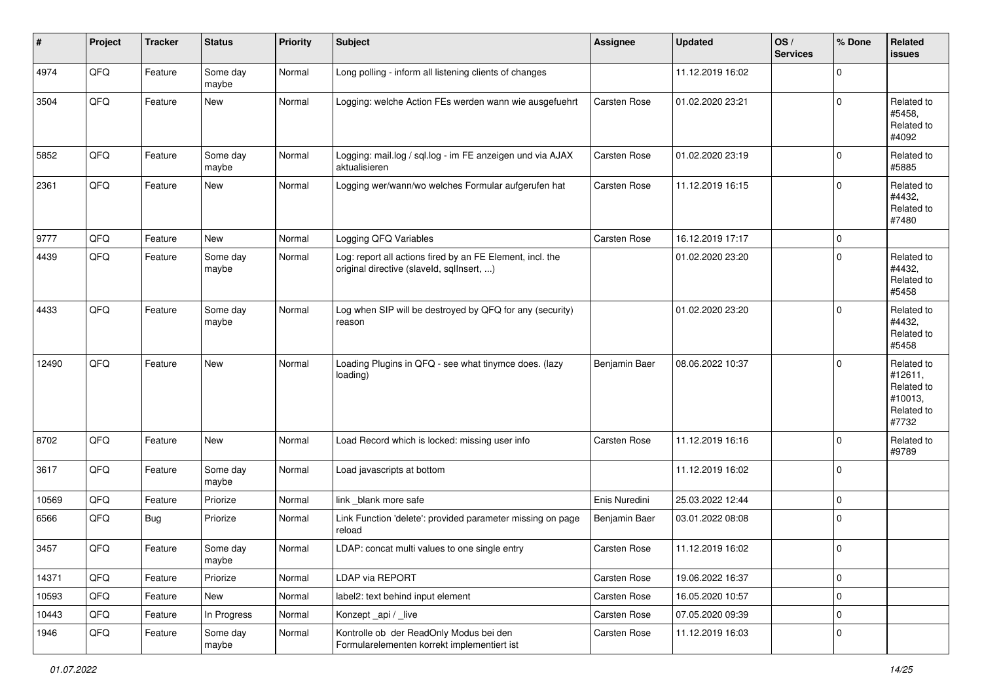| #     | Project | <b>Tracker</b> | <b>Status</b>     | <b>Priority</b> | Subject                                                                                                | <b>Assignee</b> | <b>Updated</b>   | OS/<br><b>Services</b> | % Done      | Related<br>issues                                                     |
|-------|---------|----------------|-------------------|-----------------|--------------------------------------------------------------------------------------------------------|-----------------|------------------|------------------------|-------------|-----------------------------------------------------------------------|
| 4974  | QFQ     | Feature        | Some day<br>maybe | Normal          | Long polling - inform all listening clients of changes                                                 |                 | 11.12.2019 16:02 |                        | $\mathbf 0$ |                                                                       |
| 3504  | QFQ     | Feature        | New               | Normal          | Logging: welche Action FEs werden wann wie ausgefuehrt                                                 | Carsten Rose    | 01.02.2020 23:21 |                        | $\mathbf 0$ | Related to<br>#5458,<br>Related to<br>#4092                           |
| 5852  | QFQ     | Feature        | Some day<br>maybe | Normal          | Logging: mail.log / sql.log - im FE anzeigen und via AJAX<br>aktualisieren                             | Carsten Rose    | 01.02.2020 23:19 |                        | $\mathbf 0$ | Related to<br>#5885                                                   |
| 2361  | QFQ     | Feature        | New               | Normal          | Logging wer/wann/wo welches Formular aufgerufen hat                                                    | Carsten Rose    | 11.12.2019 16:15 |                        | $\mathbf 0$ | Related to<br>#4432,<br>Related to<br>#7480                           |
| 9777  | QFQ     | Feature        | <b>New</b>        | Normal          | Logging QFQ Variables                                                                                  | Carsten Rose    | 16.12.2019 17:17 |                        | $\mathbf 0$ |                                                                       |
| 4439  | QFQ     | Feature        | Some day<br>maybe | Normal          | Log: report all actions fired by an FE Element, incl. the<br>original directive (slaveld, sqllnsert, ) |                 | 01.02.2020 23:20 |                        | $\mathbf 0$ | Related to<br>#4432,<br>Related to<br>#5458                           |
| 4433  | QFQ     | Feature        | Some day<br>maybe | Normal          | Log when SIP will be destroyed by QFQ for any (security)<br>reason                                     |                 | 01.02.2020 23:20 |                        | $\mathbf 0$ | Related to<br>#4432.<br>Related to<br>#5458                           |
| 12490 | QFQ     | Feature        | New               | Normal          | Loading Plugins in QFQ - see what tinymce does. (lazy<br>loading)                                      | Benjamin Baer   | 08.06.2022 10:37 |                        | $\mathbf 0$ | Related to<br>#12611,<br>Related to<br>#10013,<br>Related to<br>#7732 |
| 8702  | QFQ     | Feature        | <b>New</b>        | Normal          | Load Record which is locked: missing user info                                                         | Carsten Rose    | 11.12.2019 16:16 |                        | $\mathbf 0$ | Related to<br>#9789                                                   |
| 3617  | QFQ     | Feature        | Some day<br>maybe | Normal          | Load javascripts at bottom                                                                             |                 | 11.12.2019 16:02 |                        | $\mathbf 0$ |                                                                       |
| 10569 | QFQ     | Feature        | Priorize          | Normal          | link _blank more safe                                                                                  | Enis Nuredini   | 25.03.2022 12:44 |                        | $\mathbf 0$ |                                                                       |
| 6566  | QFQ     | Bug            | Priorize          | Normal          | Link Function 'delete': provided parameter missing on page<br>reload                                   | Benjamin Baer   | 03.01.2022 08:08 |                        | $\mathbf 0$ |                                                                       |
| 3457  | QFQ     | Feature        | Some day<br>maybe | Normal          | LDAP: concat multi values to one single entry                                                          | Carsten Rose    | 11.12.2019 16:02 |                        | $\mathbf 0$ |                                                                       |
| 14371 | QFQ     | Feature        | Priorize          | Normal          | <b>LDAP via REPORT</b>                                                                                 | Carsten Rose    | 19.06.2022 16:37 |                        | $\pmb{0}$   |                                                                       |
| 10593 | QFQ     | Feature        | New               | Normal          | label2: text behind input element                                                                      | Carsten Rose    | 16.05.2020 10:57 |                        | $\mathbf 0$ |                                                                       |
| 10443 | QFQ     | Feature        | In Progress       | Normal          | Konzept _api / _live                                                                                   | Carsten Rose    | 07.05.2020 09:39 |                        | $\mathbf 0$ |                                                                       |
| 1946  | QFQ     | Feature        | Some day<br>maybe | Normal          | Kontrolle ob der ReadOnly Modus bei den<br>Formularelementen korrekt implementiert ist                 | Carsten Rose    | 11.12.2019 16:03 |                        | $\pmb{0}$   |                                                                       |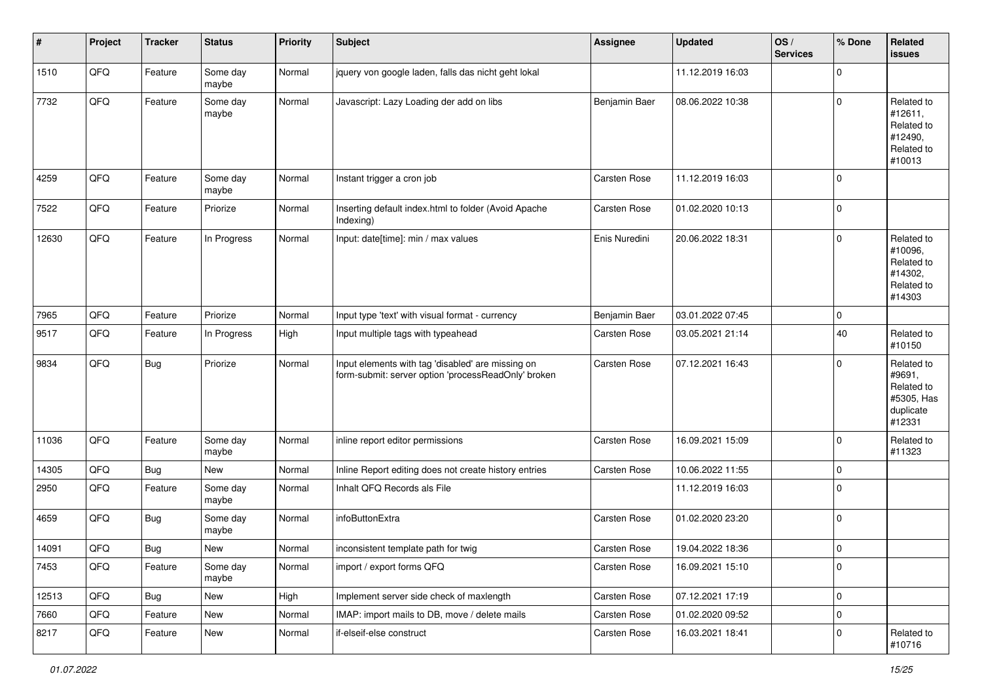| #     | Project | <b>Tracker</b> | <b>Status</b>     | <b>Priority</b> | <b>Subject</b>                                                                                           | <b>Assignee</b> | <b>Updated</b>   | OS/<br><b>Services</b> | % Done         | Related<br><b>issues</b>                                                |
|-------|---------|----------------|-------------------|-----------------|----------------------------------------------------------------------------------------------------------|-----------------|------------------|------------------------|----------------|-------------------------------------------------------------------------|
| 1510  | QFQ     | Feature        | Some day<br>maybe | Normal          | jquery von google laden, falls das nicht geht lokal                                                      |                 | 11.12.2019 16:03 |                        | $\mathbf 0$    |                                                                         |
| 7732  | QFQ     | Feature        | Some day<br>maybe | Normal          | Javascript: Lazy Loading der add on libs                                                                 | Benjamin Baer   | 08.06.2022 10:38 |                        | $\mathbf 0$    | Related to<br>#12611,<br>Related to<br>#12490,<br>Related to<br>#10013  |
| 4259  | QFQ     | Feature        | Some day<br>maybe | Normal          | Instant trigger a cron job                                                                               | Carsten Rose    | 11.12.2019 16:03 |                        | $\mathbf 0$    |                                                                         |
| 7522  | QFQ     | Feature        | Priorize          | Normal          | Inserting default index.html to folder (Avoid Apache<br>Indexing)                                        | Carsten Rose    | 01.02.2020 10:13 |                        | $\mathbf 0$    |                                                                         |
| 12630 | QFQ     | Feature        | In Progress       | Normal          | Input: date[time]: min / max values                                                                      | Enis Nuredini   | 20.06.2022 18:31 |                        | $\mathbf 0$    | Related to<br>#10096,<br>Related to<br>#14302,<br>Related to<br>#14303  |
| 7965  | QFQ     | Feature        | Priorize          | Normal          | Input type 'text' with visual format - currency                                                          | Benjamin Baer   | 03.01.2022 07:45 |                        | $\mathbf 0$    |                                                                         |
| 9517  | QFQ     | Feature        | In Progress       | High            | Input multiple tags with typeahead                                                                       | Carsten Rose    | 03.05.2021 21:14 |                        | 40             | Related to<br>#10150                                                    |
| 9834  | QFQ     | <b>Bug</b>     | Priorize          | Normal          | Input elements with tag 'disabled' are missing on<br>form-submit: server option 'processReadOnly' broken | Carsten Rose    | 07.12.2021 16:43 |                        | $\mathbf 0$    | Related to<br>#9691,<br>Related to<br>#5305, Has<br>duplicate<br>#12331 |
| 11036 | QFQ     | Feature        | Some day<br>maybe | Normal          | inline report editor permissions                                                                         | Carsten Rose    | 16.09.2021 15:09 |                        | $\mathbf 0$    | Related to<br>#11323                                                    |
| 14305 | QFQ     | Bug            | New               | Normal          | Inline Report editing does not create history entries                                                    | Carsten Rose    | 10.06.2022 11:55 |                        | $\mathbf 0$    |                                                                         |
| 2950  | QFQ     | Feature        | Some day<br>maybe | Normal          | Inhalt QFQ Records als File                                                                              |                 | 11.12.2019 16:03 |                        | $\mathbf 0$    |                                                                         |
| 4659  | QFQ     | Bug            | Some day<br>maybe | Normal          | infoButtonExtra                                                                                          | Carsten Rose    | 01.02.2020 23:20 |                        | $\mathbf 0$    |                                                                         |
| 14091 | QFQ     | <b>Bug</b>     | <b>New</b>        | Normal          | inconsistent template path for twig                                                                      | Carsten Rose    | 19.04.2022 18:36 |                        | $\mathbf 0$    |                                                                         |
| 7453  | QFQ     | Feature        | Some day<br>maybe | Normal          | import / export forms QFQ                                                                                | Carsten Rose    | 16.09.2021 15:10 |                        | $\overline{0}$ |                                                                         |
| 12513 | QFQ     | Bug            | New               | High            | Implement server side check of maxlength                                                                 | Carsten Rose    | 07.12.2021 17:19 |                        | $\pmb{0}$      |                                                                         |
| 7660  | QFQ     | Feature        | New               | Normal          | IMAP: import mails to DB, move / delete mails                                                            | Carsten Rose    | 01.02.2020 09:52 |                        | $\mathbf 0$    |                                                                         |
| 8217  | QFQ     | Feature        | New               | Normal          | if-elseif-else construct                                                                                 | Carsten Rose    | 16.03.2021 18:41 |                        | $\mathbf 0$    | Related to<br>#10716                                                    |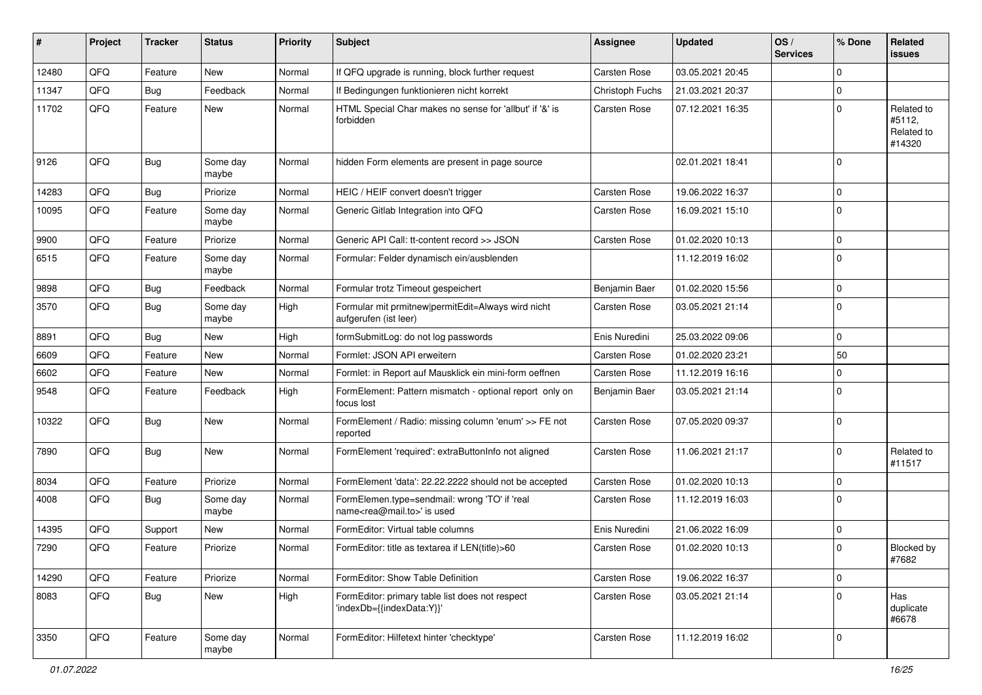| ∦     | Project | <b>Tracker</b> | <b>Status</b>     | <b>Priority</b> | Subject                                                                                    | <b>Assignee</b>     | <b>Updated</b>   | OS/<br><b>Services</b> | % Done         | Related<br><b>issues</b>                     |
|-------|---------|----------------|-------------------|-----------------|--------------------------------------------------------------------------------------------|---------------------|------------------|------------------------|----------------|----------------------------------------------|
| 12480 | QFQ     | Feature        | New               | Normal          | If QFQ upgrade is running, block further request                                           | <b>Carsten Rose</b> | 03.05.2021 20:45 |                        | $\mathbf 0$    |                                              |
| 11347 | QFQ     | Bug            | Feedback          | Normal          | If Bedingungen funktionieren nicht korrekt                                                 | Christoph Fuchs     | 21.03.2021 20:37 |                        | $\mathbf 0$    |                                              |
| 11702 | QFQ     | Feature        | New               | Normal          | HTML Special Char makes no sense for 'allbut' if '&' is<br>forbidden                       | <b>Carsten Rose</b> | 07.12.2021 16:35 |                        | $\overline{0}$ | Related to<br>#5112,<br>Related to<br>#14320 |
| 9126  | QFQ     | <b>Bug</b>     | Some day<br>maybe | Normal          | hidden Form elements are present in page source                                            |                     | 02.01.2021 18:41 |                        | $\overline{0}$ |                                              |
| 14283 | QFQ     | <b>Bug</b>     | Priorize          | Normal          | HEIC / HEIF convert doesn't trigger                                                        | Carsten Rose        | 19.06.2022 16:37 |                        | $\mathbf 0$    |                                              |
| 10095 | QFQ     | Feature        | Some day<br>maybe | Normal          | Generic Gitlab Integration into QFQ                                                        | Carsten Rose        | 16.09.2021 15:10 |                        | $\overline{0}$ |                                              |
| 9900  | QFQ     | Feature        | Priorize          | Normal          | Generic API Call: tt-content record >> JSON                                                | Carsten Rose        | 01.02.2020 10:13 |                        | $\mathbf 0$    |                                              |
| 6515  | QFQ     | Feature        | Some day<br>maybe | Normal          | Formular: Felder dynamisch ein/ausblenden                                                  |                     | 11.12.2019 16:02 |                        | $\mathbf 0$    |                                              |
| 9898  | QFQ     | <b>Bug</b>     | Feedback          | Normal          | Formular trotz Timeout gespeichert                                                         | Benjamin Baer       | 01.02.2020 15:56 |                        | $\mathbf 0$    |                                              |
| 3570  | QFQ     | <b>Bug</b>     | Some day<br>maybe | High            | Formular mit prmitnew permitEdit=Always wird nicht<br>aufgerufen (ist leer)                | Carsten Rose        | 03.05.2021 21:14 |                        | $\mathbf 0$    |                                              |
| 8891  | QFQ     | <b>Bug</b>     | <b>New</b>        | High            | formSubmitLog: do not log passwords                                                        | Enis Nuredini       | 25.03.2022 09:06 |                        | $\mathbf 0$    |                                              |
| 6609  | QFQ     | Feature        | <b>New</b>        | Normal          | Formlet: JSON API erweitern                                                                | Carsten Rose        | 01.02.2020 23:21 |                        | 50             |                                              |
| 6602  | QFQ     | Feature        | <b>New</b>        | Normal          | Formlet: in Report auf Mausklick ein mini-form oeffnen                                     | Carsten Rose        | 11.12.2019 16:16 |                        | $\mathbf 0$    |                                              |
| 9548  | QFQ     | Feature        | Feedback          | High            | FormElement: Pattern mismatch - optional report only on<br>focus lost                      | Benjamin Baer       | 03.05.2021 21:14 |                        | $\mathbf 0$    |                                              |
| 10322 | QFQ     | <b>Bug</b>     | New               | Normal          | FormElement / Radio: missing column 'enum' >> FE not<br>reported                           | Carsten Rose        | 07.05.2020 09:37 |                        | $\overline{0}$ |                                              |
| 7890  | QFQ     | Bug            | <b>New</b>        | Normal          | FormElement 'required': extraButtonInfo not aligned                                        | Carsten Rose        | 11.06.2021 21:17 |                        | $\overline{0}$ | Related to<br>#11517                         |
| 8034  | QFQ     | Feature        | Priorize          | Normal          | FormElement 'data': 22.22.2222 should not be accepted                                      | Carsten Rose        | 01.02.2020 10:13 |                        | 0              |                                              |
| 4008  | QFQ     | Bug            | Some day<br>maybe | Normal          | FormElemen.type=sendmail: wrong 'TO' if 'real<br>name <rea@mail.to>' is used</rea@mail.to> | Carsten Rose        | 11.12.2019 16:03 |                        | $\Omega$       |                                              |
| 14395 | QFQ     | Support        | New               | Normal          | FormEditor: Virtual table columns                                                          | Enis Nuredini       | 21.06.2022 16:09 |                        | $\mathbf 0$    |                                              |
| 7290  | QFQ     | Feature        | Priorize          | Normal          | FormEditor: title as textarea if LEN(title)>60                                             | Carsten Rose        | 01.02.2020 10:13 |                        | $\overline{0}$ | Blocked by<br>#7682                          |
| 14290 | QFQ     | Feature        | Priorize          | Normal          | FormEditor: Show Table Definition                                                          | Carsten Rose        | 19.06.2022 16:37 |                        | $\overline{0}$ |                                              |
| 8083  | QFQ     | <b>Bug</b>     | New               | High            | FormEditor: primary table list does not respect<br>'indexDb={{indexData:Y}}'               | Carsten Rose        | 03.05.2021 21:14 |                        | $\mathbf 0$    | Has<br>duplicate<br>#6678                    |
| 3350  | QFO     | Feature        | Some day<br>maybe | Normal          | FormEditor: Hilfetext hinter 'checktype'                                                   | Carsten Rose        | 11.12.2019 16:02 |                        | $\mathbf 0$    |                                              |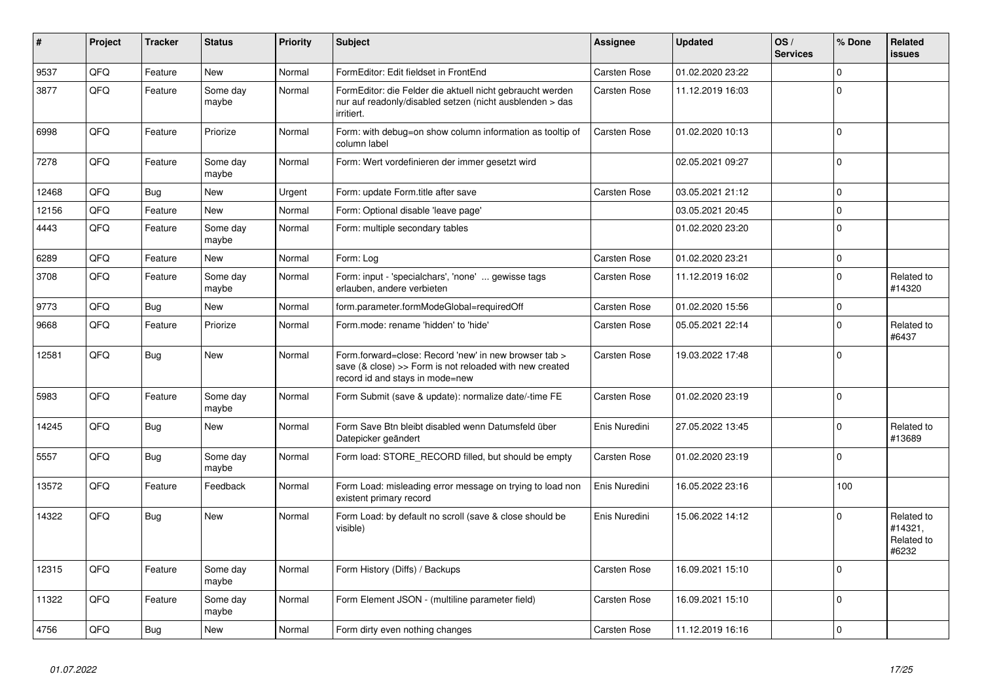| #     | Project | <b>Tracker</b> | <b>Status</b>     | <b>Priority</b> | <b>Subject</b>                                                                                                                                      | Assignee      | <b>Updated</b>   | OS/<br><b>Services</b> | % Done       | Related<br>issues                            |
|-------|---------|----------------|-------------------|-----------------|-----------------------------------------------------------------------------------------------------------------------------------------------------|---------------|------------------|------------------------|--------------|----------------------------------------------|
| 9537  | QFQ     | Feature        | <b>New</b>        | Normal          | FormEditor: Edit fieldset in FrontEnd                                                                                                               | Carsten Rose  | 01.02.2020 23:22 |                        | $\Omega$     |                                              |
| 3877  | QFQ     | Feature        | Some day<br>maybe | Normal          | FormEditor: die Felder die aktuell nicht gebraucht werden<br>nur auf readonly/disabled setzen (nicht ausblenden > das<br>irritiert.                 | Carsten Rose  | 11.12.2019 16:03 |                        | 0            |                                              |
| 6998  | QFQ     | Feature        | Priorize          | Normal          | Form: with debug=on show column information as tooltip of<br>column label                                                                           | Carsten Rose  | 01.02.2020 10:13 |                        | $\Omega$     |                                              |
| 7278  | QFQ     | Feature        | Some day<br>maybe | Normal          | Form: Wert vordefinieren der immer gesetzt wird                                                                                                     |               | 02.05.2021 09:27 |                        | $\Omega$     |                                              |
| 12468 | QFQ     | <b>Bug</b>     | <b>New</b>        | Urgent          | Form: update Form.title after save                                                                                                                  | Carsten Rose  | 03.05.2021 21:12 |                        | $\Omega$     |                                              |
| 12156 | QFQ     | Feature        | <b>New</b>        | Normal          | Form: Optional disable 'leave page'                                                                                                                 |               | 03.05.2021 20:45 |                        | $\Omega$     |                                              |
| 4443  | QFQ     | Feature        | Some day<br>maybe | Normal          | Form: multiple secondary tables                                                                                                                     |               | 01.02.2020 23:20 |                        | $\Omega$     |                                              |
| 6289  | QFQ     | Feature        | <b>New</b>        | Normal          | Form: Log                                                                                                                                           | Carsten Rose  | 01.02.2020 23:21 |                        | $\Omega$     |                                              |
| 3708  | QFQ     | Feature        | Some day<br>maybe | Normal          | Form: input - 'specialchars', 'none'  gewisse tags<br>erlauben, andere verbieten                                                                    | Carsten Rose  | 11.12.2019 16:02 |                        | 0            | Related to<br>#14320                         |
| 9773  | QFQ     | Bug            | <b>New</b>        | Normal          | form.parameter.formModeGlobal=requiredOff                                                                                                           | Carsten Rose  | 01.02.2020 15:56 |                        | $\Omega$     |                                              |
| 9668  | QFQ     | Feature        | Priorize          | Normal          | Form.mode: rename 'hidden' to 'hide'                                                                                                                | Carsten Rose  | 05.05.2021 22:14 |                        | $\Omega$     | Related to<br>#6437                          |
| 12581 | QFQ     | <b>Bug</b>     | <b>New</b>        | Normal          | Form.forward=close: Record 'new' in new browser tab ><br>save (& close) >> Form is not reloaded with new created<br>record id and stays in mode=new | Carsten Rose  | 19.03.2022 17:48 |                        | $\Omega$     |                                              |
| 5983  | QFQ     | Feature        | Some day<br>maybe | Normal          | Form Submit (save & update): normalize date/-time FE                                                                                                | Carsten Rose  | 01.02.2020 23:19 |                        | $\Omega$     |                                              |
| 14245 | QFQ     | Bug            | <b>New</b>        | Normal          | Form Save Btn bleibt disabled wenn Datumsfeld über<br>Datepicker geändert                                                                           | Enis Nuredini | 27.05.2022 13:45 |                        | $\Omega$     | Related to<br>#13689                         |
| 5557  | QFQ     | Bug            | Some day<br>maybe | Normal          | Form load: STORE_RECORD filled, but should be empty                                                                                                 | Carsten Rose  | 01.02.2020 23:19 |                        | $\Omega$     |                                              |
| 13572 | QFQ     | Feature        | Feedback          | Normal          | Form Load: misleading error message on trying to load non<br>existent primary record                                                                | Enis Nuredini | 16.05.2022 23:16 |                        | 100          |                                              |
| 14322 | QFQ     | <b>Bug</b>     | <b>New</b>        | Normal          | Form Load: by default no scroll (save & close should be<br>visible)                                                                                 | Enis Nuredini | 15.06.2022 14:12 |                        | <sup>0</sup> | Related to<br>#14321,<br>Related to<br>#6232 |
| 12315 | QFQ     | Feature        | Some day<br>maybe | Normal          | Form History (Diffs) / Backups                                                                                                                      | Carsten Rose  | 16.09.2021 15:10 |                        | $\Omega$     |                                              |
| 11322 | QFQ     | Feature        | Some day<br>maybe | Normal          | Form Element JSON - (multiline parameter field)                                                                                                     | Carsten Rose  | 16.09.2021 15:10 |                        | $\Omega$     |                                              |
| 4756  | QFQ     | <b>Bug</b>     | New               | Normal          | Form dirty even nothing changes                                                                                                                     | Carsten Rose  | 11.12.2019 16:16 |                        | $\mathbf 0$  |                                              |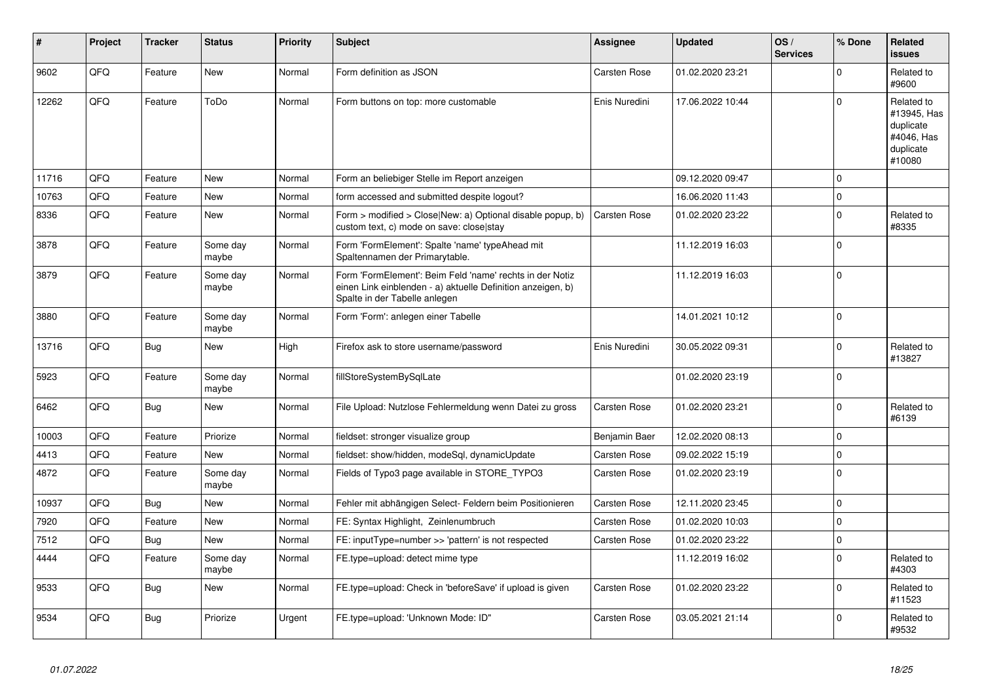| #     | Project | <b>Tracker</b> | <b>Status</b>     | <b>Priority</b> | <b>Subject</b>                                                                                                                                           | <b>Assignee</b> | <b>Updated</b>   | OS/<br><b>Services</b> | % Done       | Related<br><b>issues</b>                                                    |
|-------|---------|----------------|-------------------|-----------------|----------------------------------------------------------------------------------------------------------------------------------------------------------|-----------------|------------------|------------------------|--------------|-----------------------------------------------------------------------------|
| 9602  | QFQ     | Feature        | New               | Normal          | Form definition as JSON                                                                                                                                  | Carsten Rose    | 01.02.2020 23:21 |                        | $\mathbf 0$  | Related to<br>#9600                                                         |
| 12262 | QFQ     | Feature        | ToDo              | Normal          | Form buttons on top: more customable                                                                                                                     | Enis Nuredini   | 17.06.2022 10:44 |                        | $\mathbf 0$  | Related to<br>#13945, Has<br>duplicate<br>#4046, Has<br>duplicate<br>#10080 |
| 11716 | QFQ     | Feature        | <b>New</b>        | Normal          | Form an beliebiger Stelle im Report anzeigen                                                                                                             |                 | 09.12.2020 09:47 |                        | $\mathbf{0}$ |                                                                             |
| 10763 | QFQ     | Feature        | New               | Normal          | form accessed and submitted despite logout?                                                                                                              |                 | 16.06.2020 11:43 |                        | $\mathbf 0$  |                                                                             |
| 8336  | QFQ     | Feature        | New               | Normal          | Form > modified > Close New: a) Optional disable popup, b)<br>custom text, c) mode on save: close stay                                                   | Carsten Rose    | 01.02.2020 23:22 |                        | $\mathbf 0$  | Related to<br>#8335                                                         |
| 3878  | QFQ     | Feature        | Some day<br>maybe | Normal          | Form 'FormElement': Spalte 'name' typeAhead mit<br>Spaltennamen der Primarytable.                                                                        |                 | 11.12.2019 16:03 |                        | $\Omega$     |                                                                             |
| 3879  | QFQ     | Feature        | Some day<br>maybe | Normal          | Form 'FormElement': Beim Feld 'name' rechts in der Notiz<br>einen Link einblenden - a) aktuelle Definition anzeigen, b)<br>Spalte in der Tabelle anlegen |                 | 11.12.2019 16:03 |                        | $\pmb{0}$    |                                                                             |
| 3880  | QFQ     | Feature        | Some day<br>maybe | Normal          | Form 'Form': anlegen einer Tabelle                                                                                                                       |                 | 14.01.2021 10:12 |                        | $\Omega$     |                                                                             |
| 13716 | QFQ     | <b>Bug</b>     | New               | High            | Firefox ask to store username/password                                                                                                                   | Enis Nuredini   | 30.05.2022 09:31 |                        | $\mathbf 0$  | Related to<br>#13827                                                        |
| 5923  | QFQ     | Feature        | Some day<br>maybe | Normal          | fillStoreSystemBySqlLate                                                                                                                                 |                 | 01.02.2020 23:19 |                        | $\mathbf{0}$ |                                                                             |
| 6462  | QFQ     | Bug            | New               | Normal          | File Upload: Nutzlose Fehlermeldung wenn Datei zu gross                                                                                                  | Carsten Rose    | 01.02.2020 23:21 |                        | $\Omega$     | Related to<br>#6139                                                         |
| 10003 | QFQ     | Feature        | Priorize          | Normal          | fieldset: stronger visualize group                                                                                                                       | Benjamin Baer   | 12.02.2020 08:13 |                        | $\mathbf{0}$ |                                                                             |
| 4413  | QFQ     | Feature        | New               | Normal          | fieldset: show/hidden, modeSql, dynamicUpdate                                                                                                            | Carsten Rose    | 09.02.2022 15:19 |                        | $\pmb{0}$    |                                                                             |
| 4872  | QFQ     | Feature        | Some day<br>maybe | Normal          | Fields of Typo3 page available in STORE_TYPO3                                                                                                            | Carsten Rose    | 01.02.2020 23:19 |                        | $\Omega$     |                                                                             |
| 10937 | QFQ     | Bug            | <b>New</b>        | Normal          | Fehler mit abhängigen Select- Feldern beim Positionieren                                                                                                 | Carsten Rose    | 12.11.2020 23:45 |                        | $\mathsf 0$  |                                                                             |
| 7920  | QFQ     | Feature        | New               | Normal          | FE: Syntax Highlight, Zeinlenumbruch                                                                                                                     | Carsten Rose    | 01.02.2020 10:03 |                        | $\mathbf 0$  |                                                                             |
| 7512  | QFQ     | <b>Bug</b>     | <b>New</b>        | Normal          | FE: inputType=number >> 'pattern' is not respected                                                                                                       | Carsten Rose    | 01.02.2020 23:22 |                        | $\pmb{0}$    |                                                                             |
| 4444  | QFQ     | Feature        | Some day<br>maybe | Normal          | FE.type=upload: detect mime type                                                                                                                         |                 | 11.12.2019 16:02 |                        | $\mathbf{0}$ | Related to<br>#4303                                                         |
| 9533  | QFQ     | Bug            | <b>New</b>        | Normal          | FE.type=upload: Check in 'beforeSave' if upload is given                                                                                                 | Carsten Rose    | 01.02.2020 23:22 |                        | $\Omega$     | Related to<br>#11523                                                        |
| 9534  | QFQ     | Bug            | Priorize          | Urgent          | FE.type=upload: 'Unknown Mode: ID"                                                                                                                       | Carsten Rose    | 03.05.2021 21:14 |                        | $\mathbf 0$  | Related to<br>#9532                                                         |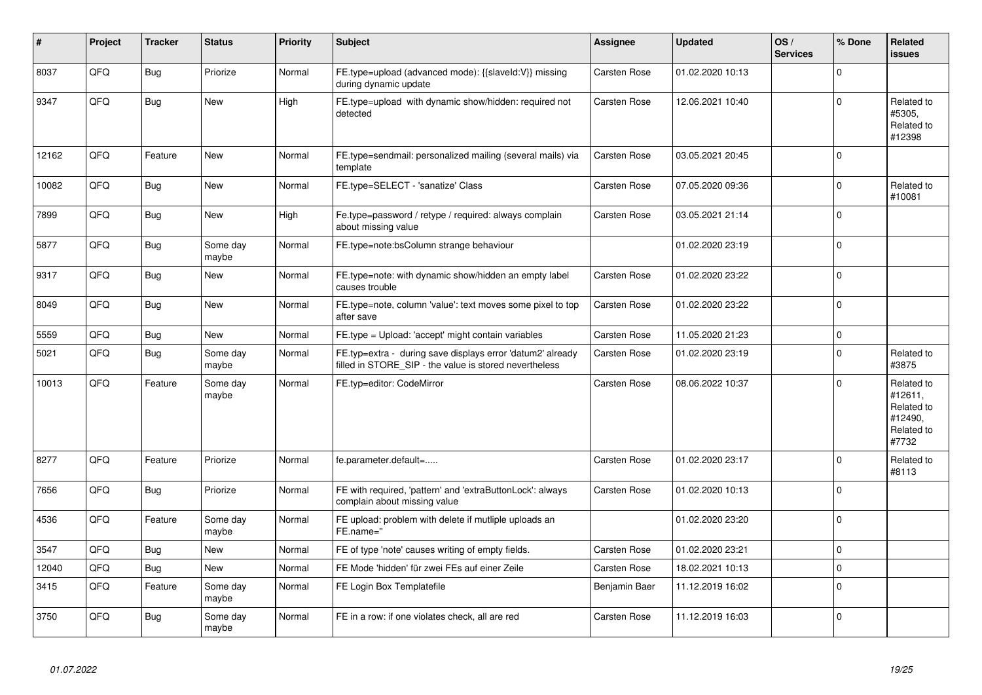| #     | Project | <b>Tracker</b> | <b>Status</b>     | <b>Priority</b> | <b>Subject</b>                                                                                                       | Assignee      | <b>Updated</b>   | OS/<br><b>Services</b> | % Done       | Related<br><b>issues</b>                                              |
|-------|---------|----------------|-------------------|-----------------|----------------------------------------------------------------------------------------------------------------------|---------------|------------------|------------------------|--------------|-----------------------------------------------------------------------|
| 8037  | QFQ     | <b>Bug</b>     | Priorize          | Normal          | FE.type=upload (advanced mode): {{slaveld:V}} missing<br>during dynamic update                                       | Carsten Rose  | 01.02.2020 10:13 |                        | $\Omega$     |                                                                       |
| 9347  | QFQ     | Bug            | <b>New</b>        | High            | FE.type=upload with dynamic show/hidden: required not<br>detected                                                    | Carsten Rose  | 12.06.2021 10:40 |                        | 0            | Related to<br>#5305,<br>Related to<br>#12398                          |
| 12162 | QFQ     | Feature        | <b>New</b>        | Normal          | FE.type=sendmail: personalized mailing (several mails) via<br>template                                               | Carsten Rose  | 03.05.2021 20:45 |                        | $\Omega$     |                                                                       |
| 10082 | QFQ     | Bug            | <b>New</b>        | Normal          | FE.type=SELECT - 'sanatize' Class                                                                                    | Carsten Rose  | 07.05.2020 09:36 |                        | $\Omega$     | Related to<br>#10081                                                  |
| 7899  | QFQ     | <b>Bug</b>     | New               | High            | Fe.type=password / retype / required: always complain<br>about missing value                                         | Carsten Rose  | 03.05.2021 21:14 |                        | $\Omega$     |                                                                       |
| 5877  | QFQ     | Bug            | Some day<br>maybe | Normal          | FE.type=note:bsColumn strange behaviour                                                                              |               | 01.02.2020 23:19 |                        | $\Omega$     |                                                                       |
| 9317  | QFQ     | <b>Bug</b>     | New               | Normal          | FE.type=note: with dynamic show/hidden an empty label<br>causes trouble                                              | Carsten Rose  | 01.02.2020 23:22 |                        | $\Omega$     |                                                                       |
| 8049  | QFQ     | <b>Bug</b>     | <b>New</b>        | Normal          | FE.type=note, column 'value': text moves some pixel to top<br>after save                                             | Carsten Rose  | 01.02.2020 23:22 |                        | $\Omega$     |                                                                       |
| 5559  | QFQ     | <b>Bug</b>     | <b>New</b>        | Normal          | FE.type = Upload: 'accept' might contain variables                                                                   | Carsten Rose  | 11.05.2020 21:23 |                        | $\mathbf{0}$ |                                                                       |
| 5021  | QFQ     | Bug            | Some day<br>maybe | Normal          | FE.typ=extra - during save displays error 'datum2' already<br>filled in STORE_SIP - the value is stored nevertheless | Carsten Rose  | 01.02.2020 23:19 |                        | $\Omega$     | Related to<br>#3875                                                   |
| 10013 | QFQ     | Feature        | Some day<br>maybe | Normal          | FE.typ=editor: CodeMirror                                                                                            | Carsten Rose  | 08.06.2022 10:37 |                        | $\Omega$     | Related to<br>#12611.<br>Related to<br>#12490.<br>Related to<br>#7732 |
| 8277  | QFQ     | Feature        | Priorize          | Normal          | fe.parameter.default=                                                                                                | Carsten Rose  | 01.02.2020 23:17 |                        | $\Omega$     | Related to<br>#8113                                                   |
| 7656  | QFQ     | Bug            | Priorize          | Normal          | FE with required, 'pattern' and 'extraButtonLock': always<br>complain about missing value                            | Carsten Rose  | 01.02.2020 10:13 |                        | $\Omega$     |                                                                       |
| 4536  | QFQ     | Feature        | Some day<br>maybe | Normal          | FE upload: problem with delete if mutliple uploads an<br>FE.name="                                                   |               | 01.02.2020 23:20 |                        | $\Omega$     |                                                                       |
| 3547  | QFQ     | Bug            | New               | Normal          | FE of type 'note' causes writing of empty fields.                                                                    | Carsten Rose  | 01.02.2020 23:21 |                        | $\Omega$     |                                                                       |
| 12040 | QFQ     | Bug            | New               | Normal          | FE Mode 'hidden' für zwei FEs auf einer Zeile                                                                        | Carsten Rose  | 18.02.2021 10:13 |                        | $\Omega$     |                                                                       |
| 3415  | QFQ     | Feature        | Some day<br>maybe | Normal          | FE Login Box Templatefile                                                                                            | Benjamin Baer | 11.12.2019 16:02 |                        | $\mathbf 0$  |                                                                       |
| 3750  | QFQ     | <b>Bug</b>     | Some day<br>maybe | Normal          | FE in a row: if one violates check, all are red                                                                      | Carsten Rose  | 11.12.2019 16:03 |                        | $\Omega$     |                                                                       |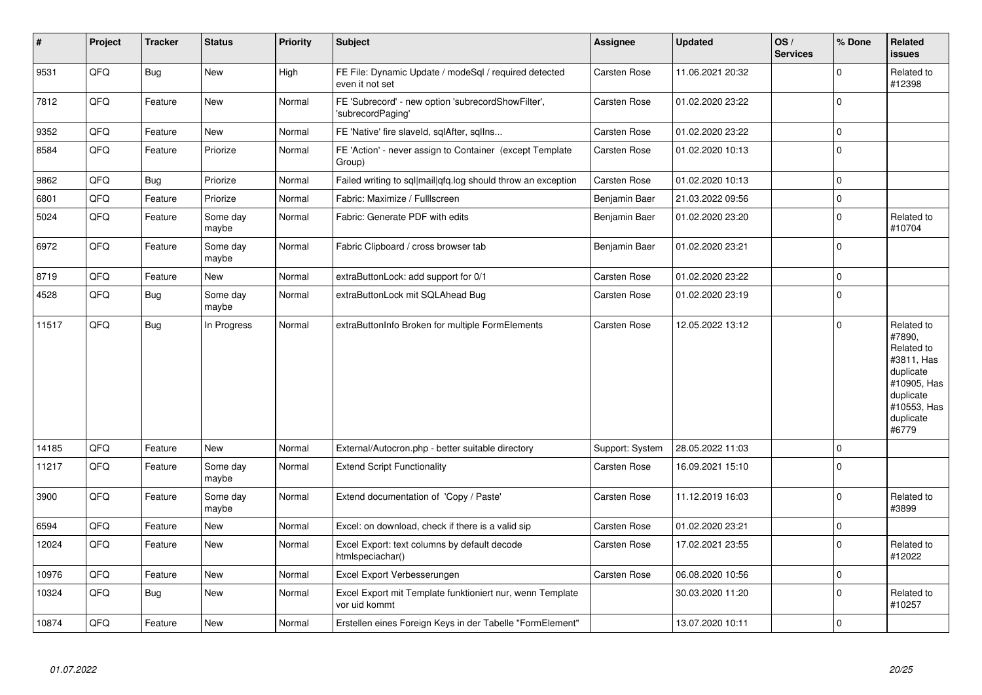| $\vert$ # | Project | <b>Tracker</b> | <b>Status</b>     | <b>Priority</b> | <b>Subject</b>                                                             | Assignee        | <b>Updated</b>   | OS/<br><b>Services</b> | % Done      | Related<br>issues                                                                                                              |
|-----------|---------|----------------|-------------------|-----------------|----------------------------------------------------------------------------|-----------------|------------------|------------------------|-------------|--------------------------------------------------------------------------------------------------------------------------------|
| 9531      | QFQ     | <b>Bug</b>     | <b>New</b>        | High            | FE File: Dynamic Update / modeSql / required detected<br>even it not set   | Carsten Rose    | 11.06.2021 20:32 |                        | $\Omega$    | Related to<br>#12398                                                                                                           |
| 7812      | QFQ     | Feature        | <b>New</b>        | Normal          | FE 'Subrecord' - new option 'subrecordShowFilter',<br>'subrecordPaging'    | Carsten Rose    | 01.02.2020 23:22 |                        | $\Omega$    |                                                                                                                                |
| 9352      | QFQ     | Feature        | <b>New</b>        | Normal          | FE 'Native' fire slaveld, sqlAfter, sqllns                                 | Carsten Rose    | 01.02.2020 23:22 |                        | $\mathbf 0$ |                                                                                                                                |
| 8584      | QFQ     | Feature        | Priorize          | Normal          | FE 'Action' - never assign to Container (except Template<br>Group)         | Carsten Rose    | 01.02.2020 10:13 |                        | $\Omega$    |                                                                                                                                |
| 9862      | QFQ     | <b>Bug</b>     | Priorize          | Normal          | Failed writing to sql mail qfq.log should throw an exception               | Carsten Rose    | 01.02.2020 10:13 |                        | $\Omega$    |                                                                                                                                |
| 6801      | QFQ     | Feature        | Priorize          | Normal          | Fabric: Maximize / FullIscreen                                             | Benjamin Baer   | 21.03.2022 09:56 |                        | $\Omega$    |                                                                                                                                |
| 5024      | QFQ     | Feature        | Some day<br>maybe | Normal          | Fabric: Generate PDF with edits                                            | Benjamin Baer   | 01.02.2020 23:20 |                        | $\mathbf 0$ | Related to<br>#10704                                                                                                           |
| 6972      | QFQ     | Feature        | Some day<br>maybe | Normal          | Fabric Clipboard / cross browser tab                                       | Benjamin Baer   | 01.02.2020 23:21 |                        | $\Omega$    |                                                                                                                                |
| 8719      | QFQ     | Feature        | <b>New</b>        | Normal          | extraButtonLock: add support for 0/1                                       | Carsten Rose    | 01.02.2020 23:22 |                        | $\mathbf 0$ |                                                                                                                                |
| 4528      | QFQ     | <b>Bug</b>     | Some day<br>maybe | Normal          | extraButtonLock mit SQLAhead Bug                                           | Carsten Rose    | 01.02.2020 23:19 |                        | $\mathbf 0$ |                                                                                                                                |
| 11517     | QFQ     | <b>Bug</b>     | In Progress       | Normal          | extraButtonInfo Broken for multiple FormElements                           | Carsten Rose    | 12.05.2022 13:12 |                        | $\Omega$    | Related to<br>#7890,<br>Related to<br>#3811, Has<br>duplicate<br>#10905, Has<br>duplicate<br>#10553, Has<br>duplicate<br>#6779 |
| 14185     | QFQ     | Feature        | <b>New</b>        | Normal          | External/Autocron.php - better suitable directory                          | Support: System | 28.05.2022 11:03 |                        | $\Omega$    |                                                                                                                                |
| 11217     | QFQ     | Feature        | Some day<br>maybe | Normal          | <b>Extend Script Functionality</b>                                         | Carsten Rose    | 16.09.2021 15:10 |                        | $\Omega$    |                                                                                                                                |
| 3900      | QFQ     | Feature        | Some day<br>maybe | Normal          | Extend documentation of 'Copy / Paste'                                     | Carsten Rose    | 11.12.2019 16:03 |                        | $\Omega$    | Related to<br>#3899                                                                                                            |
| 6594      | QFQ     | Feature        | <b>New</b>        | Normal          | Excel: on download, check if there is a valid sip                          | Carsten Rose    | 01.02.2020 23:21 |                        | $\Omega$    |                                                                                                                                |
| 12024     | QFQ     | Feature        | <b>New</b>        | Normal          | Excel Export: text columns by default decode<br>htmlspeciachar()           | Carsten Rose    | 17.02.2021 23:55 |                        | $\Omega$    | Related to<br>#12022                                                                                                           |
| 10976     | QFQ     | Feature        | New               | Normal          | Excel Export Verbesserungen                                                | Carsten Rose    | 06.08.2020 10:56 |                        | $\Omega$    |                                                                                                                                |
| 10324     | QFQ     | <b>Bug</b>     | <b>New</b>        | Normal          | Excel Export mit Template funktioniert nur, wenn Template<br>vor uid kommt |                 | 30.03.2020 11:20 |                        | $\Omega$    | Related to<br>#10257                                                                                                           |
| 10874     | QFQ     | Feature        | <b>New</b>        | Normal          | Erstellen eines Foreign Keys in der Tabelle "FormElement"                  |                 | 13.07.2020 10:11 |                        | $\Omega$    |                                                                                                                                |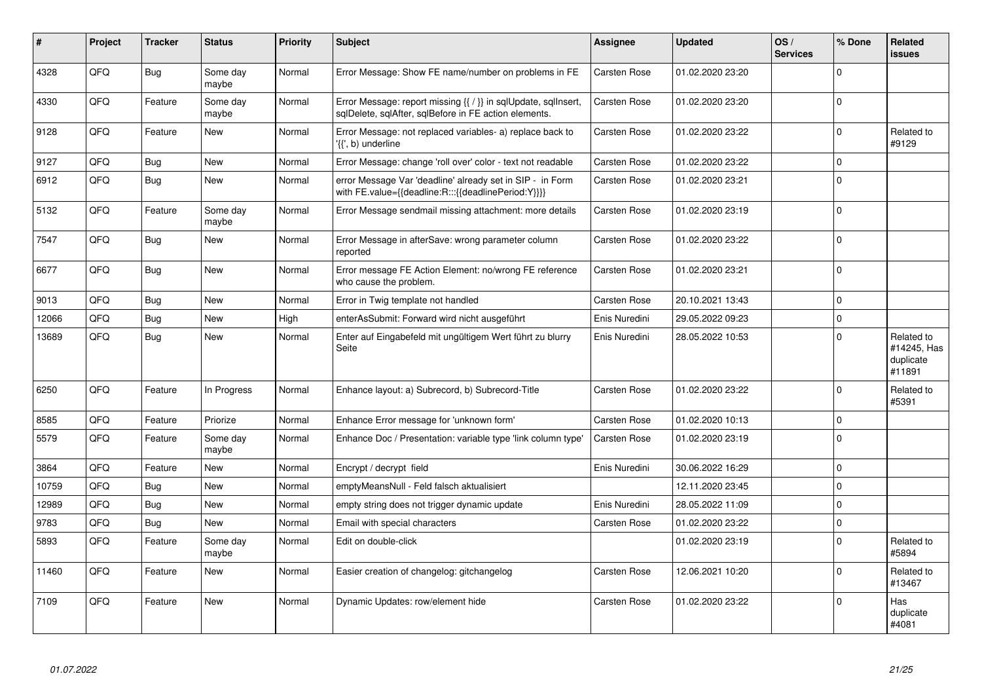| ∦     | Project | <b>Tracker</b> | <b>Status</b>     | <b>Priority</b> | <b>Subject</b>                                                                                                          | Assignee      | Updated          | OS/<br><b>Services</b> | % Done       | Related<br>issues                                |
|-------|---------|----------------|-------------------|-----------------|-------------------------------------------------------------------------------------------------------------------------|---------------|------------------|------------------------|--------------|--------------------------------------------------|
| 4328  | QFQ     | <b>Bug</b>     | Some day<br>maybe | Normal          | Error Message: Show FE name/number on problems in FE                                                                    | Carsten Rose  | 01.02.2020 23:20 |                        | $\Omega$     |                                                  |
| 4330  | QFQ     | Feature        | Some day<br>maybe | Normal          | Error Message: report missing {{ / }} in sqlUpdate, sqlInsert,<br>sglDelete, sglAfter, sglBefore in FE action elements. | Carsten Rose  | 01.02.2020 23:20 |                        | $\Omega$     |                                                  |
| 9128  | QFQ     | Feature        | <b>New</b>        | Normal          | Error Message: not replaced variables- a) replace back to<br>'{{', b) underline                                         | Carsten Rose  | 01.02.2020 23:22 |                        | $\Omega$     | Related to<br>#9129                              |
| 9127  | QFQ     | Bug            | <b>New</b>        | Normal          | Error Message: change 'roll over' color - text not readable                                                             | Carsten Rose  | 01.02.2020 23:22 |                        | $\Omega$     |                                                  |
| 6912  | QFQ     | Bug            | <b>New</b>        | Normal          | error Message Var 'deadline' already set in SIP - in Form<br>with FE.value={{deadline:R:::{{deadlinePeriod:Y}}}}        | Carsten Rose  | 01.02.2020 23:21 |                        | $\Omega$     |                                                  |
| 5132  | QFQ     | Feature        | Some day<br>maybe | Normal          | Error Message sendmail missing attachment: more details                                                                 | Carsten Rose  | 01.02.2020 23:19 |                        | $\Omega$     |                                                  |
| 7547  | QFQ     | Bug            | <b>New</b>        | Normal          | Error Message in afterSave: wrong parameter column<br>reported                                                          | Carsten Rose  | 01.02.2020 23:22 |                        | $\Omega$     |                                                  |
| 6677  | QFQ     | <b>Bug</b>     | New               | Normal          | Error message FE Action Element: no/wrong FE reference<br>who cause the problem.                                        | Carsten Rose  | 01.02.2020 23:21 |                        | $\Omega$     |                                                  |
| 9013  | QFQ     | Bug            | <b>New</b>        | Normal          | Error in Twig template not handled                                                                                      | Carsten Rose  | 20.10.2021 13:43 |                        | $\Omega$     |                                                  |
| 12066 | QFQ     | Bug            | <b>New</b>        | High            | enterAsSubmit: Forward wird nicht ausgeführt                                                                            | Enis Nuredini | 29.05.2022 09:23 |                        | $\Omega$     |                                                  |
| 13689 | QFQ     | Bug            | <b>New</b>        | Normal          | Enter auf Eingabefeld mit ungültigem Wert führt zu blurry<br>Seite                                                      | Enis Nuredini | 28.05.2022 10:53 |                        | $\Omega$     | Related to<br>#14245, Has<br>duplicate<br>#11891 |
| 6250  | QFQ     | Feature        | In Progress       | Normal          | Enhance layout: a) Subrecord, b) Subrecord-Title                                                                        | Carsten Rose  | 01.02.2020 23:22 |                        | $\Omega$     | Related to<br>#5391                              |
| 8585  | QFQ     | Feature        | Priorize          | Normal          | Enhance Error message for 'unknown form'                                                                                | Carsten Rose  | 01.02.2020 10:13 |                        | 0            |                                                  |
| 5579  | QFQ     | Feature        | Some day<br>maybe | Normal          | Enhance Doc / Presentation: variable type 'link column type'                                                            | Carsten Rose  | 01.02.2020 23:19 |                        | $\Omega$     |                                                  |
| 3864  | QFQ     | Feature        | <b>New</b>        | Normal          | Encrypt / decrypt field                                                                                                 | Enis Nuredini | 30.06.2022 16:29 |                        | $\Omega$     |                                                  |
| 10759 | QFQ     | Bug            | New               | Normal          | emptyMeansNull - Feld falsch aktualisiert                                                                               |               | 12.11.2020 23:45 |                        | $\Omega$     |                                                  |
| 12989 | QFQ     | Bug            | <b>New</b>        | Normal          | empty string does not trigger dynamic update                                                                            | Enis Nuredini | 28.05.2022 11:09 |                        | $\Omega$     |                                                  |
| 9783  | QFQ     | Bug            | New               | Normal          | Email with special characters                                                                                           | Carsten Rose  | 01.02.2020 23:22 |                        | $\Omega$     |                                                  |
| 5893  | QFQ     | Feature        | Some day<br>maybe | Normal          | Edit on double-click                                                                                                    |               | 01.02.2020 23:19 |                        | <sup>0</sup> | Related to<br>#5894                              |
| 11460 | QFQ     | Feature        | <b>New</b>        | Normal          | Easier creation of changelog: gitchangelog                                                                              | Carsten Rose  | 12.06.2021 10:20 |                        | $\Omega$     | Related to<br>#13467                             |
| 7109  | QFQ     | Feature        | <b>New</b>        | Normal          | Dynamic Updates: row/element hide                                                                                       | Carsten Rose  | 01.02.2020 23:22 |                        | $\Omega$     | Has<br>duplicate<br>#4081                        |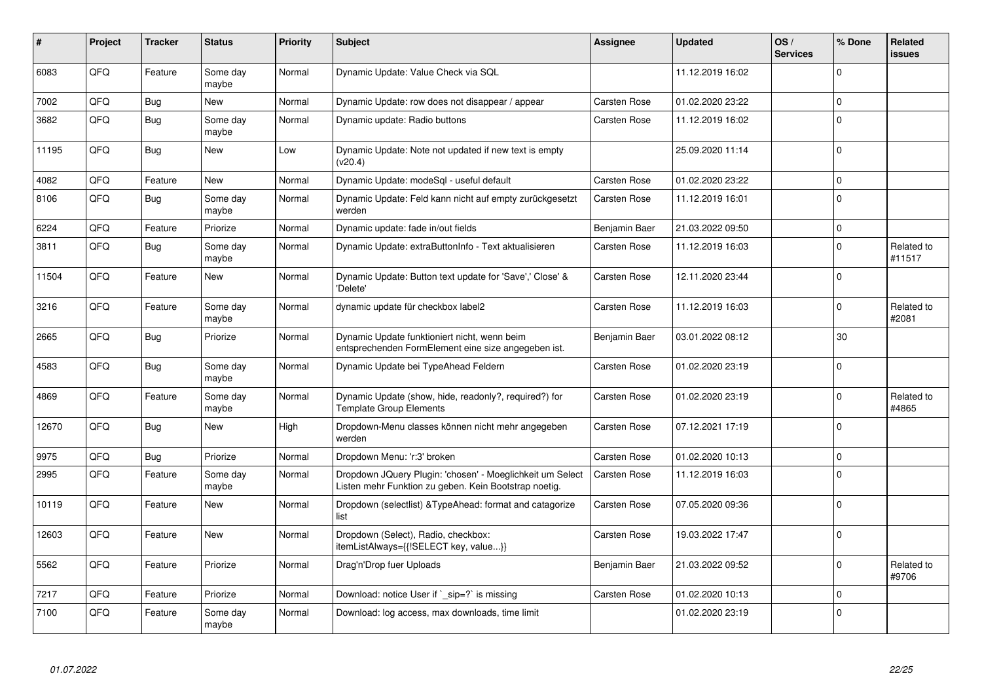| ∦     | Project | <b>Tracker</b> | <b>Status</b>     | <b>Priority</b> | <b>Subject</b>                                                                                                     | Assignee      | <b>Updated</b>   | OS/<br><b>Services</b> | % Done      | Related<br><b>issues</b> |
|-------|---------|----------------|-------------------|-----------------|--------------------------------------------------------------------------------------------------------------------|---------------|------------------|------------------------|-------------|--------------------------|
| 6083  | QFQ     | Feature        | Some day<br>maybe | Normal          | Dynamic Update: Value Check via SQL                                                                                |               | 11.12.2019 16:02 |                        | $\Omega$    |                          |
| 7002  | QFQ     | Bug            | <b>New</b>        | Normal          | Dynamic Update: row does not disappear / appear                                                                    | Carsten Rose  | 01.02.2020 23:22 |                        | $\Omega$    |                          |
| 3682  | QFQ     | Bug            | Some day<br>maybe | Normal          | Dynamic update: Radio buttons                                                                                      | Carsten Rose  | 11.12.2019 16:02 |                        | $\Omega$    |                          |
| 11195 | QFQ     | Bug            | New               | Low             | Dynamic Update: Note not updated if new text is empty<br>(v20.4)                                                   |               | 25.09.2020 11:14 |                        | $\Omega$    |                          |
| 4082  | QFQ     | Feature        | <b>New</b>        | Normal          | Dynamic Update: modeSql - useful default                                                                           | Carsten Rose  | 01.02.2020 23:22 |                        | $\mathbf 0$ |                          |
| 8106  | QFQ     | Bug            | Some day<br>maybe | Normal          | Dynamic Update: Feld kann nicht auf empty zurückgesetzt<br>werden                                                  | Carsten Rose  | 11.12.2019 16:01 |                        | $\Omega$    |                          |
| 6224  | QFQ     | Feature        | Priorize          | Normal          | Dynamic update: fade in/out fields                                                                                 | Benjamin Baer | 21.03.2022 09:50 |                        | $\Omega$    |                          |
| 3811  | QFQ     | Bug            | Some day<br>maybe | Normal          | Dynamic Update: extraButtonInfo - Text aktualisieren                                                               | Carsten Rose  | 11.12.2019 16:03 |                        | $\Omega$    | Related to<br>#11517     |
| 11504 | QFQ     | Feature        | <b>New</b>        | Normal          | Dynamic Update: Button text update for 'Save',' Close' &<br>'Delete'                                               | Carsten Rose  | 12.11.2020 23:44 |                        | $\Omega$    |                          |
| 3216  | QFQ     | Feature        | Some day<br>maybe | Normal          | dynamic update für checkbox label2                                                                                 | Carsten Rose  | 11.12.2019 16:03 |                        | $\Omega$    | Related to<br>#2081      |
| 2665  | QFQ     | Bug            | Priorize          | Normal          | Dynamic Update funktioniert nicht, wenn beim<br>entsprechenden FormElement eine size angegeben ist.                | Benjamin Baer | 03.01.2022 08:12 |                        | 30          |                          |
| 4583  | QFQ     | Bug            | Some day<br>maybe | Normal          | Dynamic Update bei TypeAhead Feldern                                                                               | Carsten Rose  | 01.02.2020 23:19 |                        | $\mathbf 0$ |                          |
| 4869  | QFQ     | Feature        | Some day<br>maybe | Normal          | Dynamic Update (show, hide, readonly?, required?) for<br><b>Template Group Elements</b>                            | Carsten Rose  | 01.02.2020 23:19 |                        | U           | Related to<br>#4865      |
| 12670 | QFQ     | Bug            | <b>New</b>        | High            | Dropdown-Menu classes können nicht mehr angegeben<br>werden                                                        | Carsten Rose  | 07.12.2021 17:19 |                        | $\Omega$    |                          |
| 9975  | QFQ     | Bug            | Priorize          | Normal          | Dropdown Menu: 'r:3' broken                                                                                        | Carsten Rose  | 01.02.2020 10:13 |                        | $\Omega$    |                          |
| 2995  | QFQ     | Feature        | Some day<br>maybe | Normal          | Dropdown JQuery Plugin: 'chosen' - Moeglichkeit um Select<br>Listen mehr Funktion zu geben. Kein Bootstrap noetig. | Carsten Rose  | 11.12.2019 16:03 |                        | $\Omega$    |                          |
| 10119 | QFQ     | Feature        | <b>New</b>        | Normal          | Dropdown (selectlist) & Type Ahead: format and catagorize<br>list                                                  | Carsten Rose  | 07.05.2020 09:36 |                        | $\Omega$    |                          |
| 12603 | QFQ     | Feature        | <b>New</b>        | Normal          | Dropdown (Select), Radio, checkbox:<br>itemListAlways={{!SELECT key, value}}                                       | Carsten Rose  | 19.03.2022 17:47 |                        | $\Omega$    |                          |
| 5562  | QFQ     | Feature        | Priorize          | Normal          | Drag'n'Drop fuer Uploads                                                                                           | Benjamin Baer | 21.03.2022 09:52 |                        | $\Omega$    | Related to<br>#9706      |
| 7217  | QFQ     | Feature        | Priorize          | Normal          | Download: notice User if `_sip=?` is missing                                                                       | Carsten Rose  | 01.02.2020 10:13 |                        | $\Omega$    |                          |
| 7100  | QFQ     | Feature        | Some day<br>maybe | Normal          | Download: log access, max downloads, time limit                                                                    |               | 01.02.2020 23:19 |                        | $\Omega$    |                          |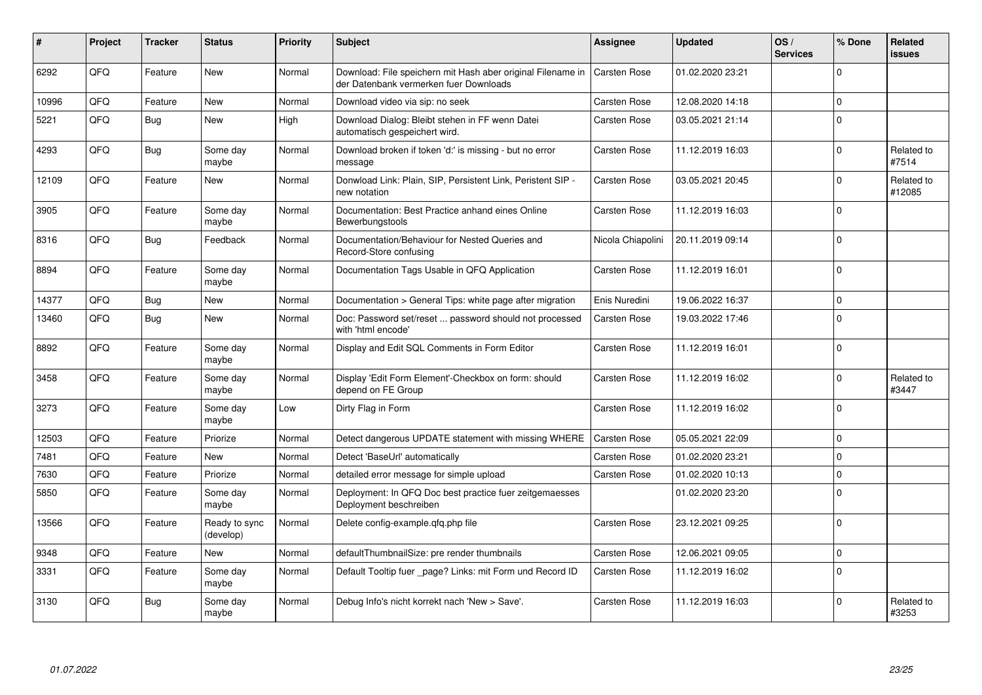| ∦     | Project | <b>Tracker</b> | <b>Status</b>              | Priority | <b>Subject</b>                                                                                        | Assignee            | <b>Updated</b>   | OS/<br><b>Services</b> | % Done         | Related<br><b>issues</b> |
|-------|---------|----------------|----------------------------|----------|-------------------------------------------------------------------------------------------------------|---------------------|------------------|------------------------|----------------|--------------------------|
| 6292  | QFQ     | Feature        | <b>New</b>                 | Normal   | Download: File speichern mit Hash aber original Filename in<br>der Datenbank vermerken fuer Downloads | <b>Carsten Rose</b> | 01.02.2020 23:21 |                        | $\Omega$       |                          |
| 10996 | QFQ     | Feature        | <b>New</b>                 | Normal   | Download video via sip: no seek                                                                       | Carsten Rose        | 12.08.2020 14:18 |                        | $\mathbf 0$    |                          |
| 5221  | QFQ     | <b>Bug</b>     | <b>New</b>                 | High     | Download Dialog: Bleibt stehen in FF wenn Datei<br>automatisch gespeichert wird.                      | Carsten Rose        | 03.05.2021 21:14 |                        | $\Omega$       |                          |
| 4293  | QFQ     | <b>Bug</b>     | Some day<br>maybe          | Normal   | Download broken if token 'd:' is missing - but no error<br>message                                    | Carsten Rose        | 11.12.2019 16:03 |                        | $\overline{0}$ | Related to<br>#7514      |
| 12109 | QFQ     | Feature        | <b>New</b>                 | Normal   | Donwload Link: Plain, SIP, Persistent Link, Peristent SIP -<br>new notation                           | Carsten Rose        | 03.05.2021 20:45 |                        | $\mathbf 0$    | Related to<br>#12085     |
| 3905  | QFQ     | Feature        | Some day<br>maybe          | Normal   | Documentation: Best Practice anhand eines Online<br>Bewerbungstools                                   | Carsten Rose        | 11.12.2019 16:03 |                        | $\overline{0}$ |                          |
| 8316  | QFQ     | <b>Bug</b>     | Feedback                   | Normal   | Documentation/Behaviour for Nested Queries and<br>Record-Store confusing                              | Nicola Chiapolini   | 20.11.2019 09:14 |                        | $\overline{0}$ |                          |
| 8894  | QFQ     | Feature        | Some day<br>maybe          | Normal   | Documentation Tags Usable in QFQ Application                                                          | Carsten Rose        | 11.12.2019 16:01 |                        | $\Omega$       |                          |
| 14377 | QFQ     | <b>Bug</b>     | <b>New</b>                 | Normal   | Documentation > General Tips: white page after migration                                              | Enis Nuredini       | 19.06.2022 16:37 |                        | $\overline{0}$ |                          |
| 13460 | QFQ     | <b>Bug</b>     | New                        | Normal   | Doc: Password set/reset  password should not processed<br>with 'html encode'                          | Carsten Rose        | 19.03.2022 17:46 |                        | $\Omega$       |                          |
| 8892  | QFQ     | Feature        | Some day<br>maybe          | Normal   | Display and Edit SQL Comments in Form Editor                                                          | Carsten Rose        | 11.12.2019 16:01 |                        | $\Omega$       |                          |
| 3458  | QFQ     | Feature        | Some day<br>maybe          | Normal   | Display 'Edit Form Element'-Checkbox on form: should<br>depend on FE Group                            | Carsten Rose        | 11.12.2019 16:02 |                        | $\overline{0}$ | Related to<br>#3447      |
| 3273  | QFQ     | Feature        | Some day<br>maybe          | Low      | Dirty Flag in Form                                                                                    | Carsten Rose        | 11.12.2019 16:02 |                        | $\overline{0}$ |                          |
| 12503 | QFQ     | Feature        | Priorize                   | Normal   | Detect dangerous UPDATE statement with missing WHERE                                                  | <b>Carsten Rose</b> | 05.05.2021 22:09 |                        | $\pmb{0}$      |                          |
| 7481  | QFQ     | Feature        | <b>New</b>                 | Normal   | Detect 'BaseUrl' automatically                                                                        | Carsten Rose        | 01.02.2020 23:21 |                        | $\overline{0}$ |                          |
| 7630  | QFQ     | Feature        | Priorize                   | Normal   | detailed error message for simple upload                                                              | Carsten Rose        | 01.02.2020 10:13 |                        | $\overline{0}$ |                          |
| 5850  | QFQ     | Feature        | Some day<br>maybe          | Normal   | Deployment: In QFQ Doc best practice fuer zeitgemaesses<br>Deployment beschreiben                     |                     | 01.02.2020 23:20 |                        | $\overline{0}$ |                          |
| 13566 | QFQ     | Feature        | Ready to sync<br>(develop) | Normal   | Delete config-example.qfq.php file                                                                    | Carsten Rose        | 23.12.2021 09:25 |                        | $\Omega$       |                          |
| 9348  | QFQ     | Feature        | <b>New</b>                 | Normal   | defaultThumbnailSize: pre render thumbnails                                                           | <b>Carsten Rose</b> | 12.06.2021 09:05 |                        | $\mathbf 0$    |                          |
| 3331  | QFQ     | Feature        | Some day<br>maybe          | Normal   | Default Tooltip fuer page? Links: mit Form und Record ID                                              | Carsten Rose        | 11.12.2019 16:02 |                        | $\mathbf 0$    |                          |
| 3130  | QFQ     | Bug            | Some day<br>maybe          | Normal   | Debug Info's nicht korrekt nach 'New > Save'.                                                         | Carsten Rose        | 11.12.2019 16:03 |                        | $\mathbf 0$    | Related to<br>#3253      |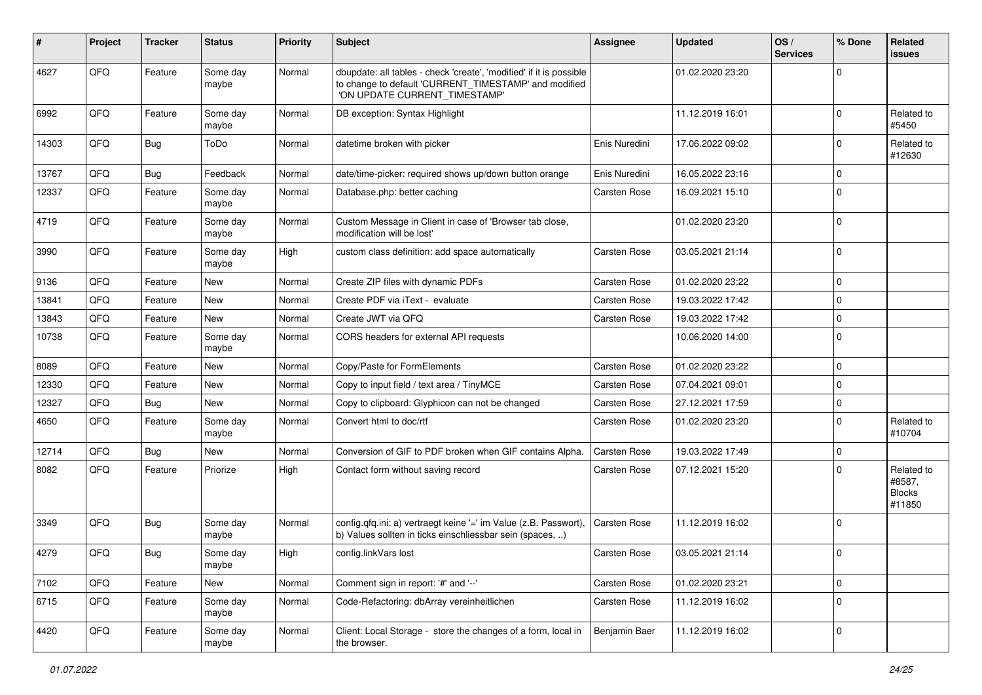| #     | Project | <b>Tracker</b> | <b>Status</b>     | <b>Priority</b> | <b>Subject</b>                                                                                                                                                | <b>Assignee</b> | <b>Updated</b>   | OS/<br><b>Services</b> | % Done       | Related<br>issues                               |
|-------|---------|----------------|-------------------|-----------------|---------------------------------------------------------------------------------------------------------------------------------------------------------------|-----------------|------------------|------------------------|--------------|-------------------------------------------------|
| 4627  | QFQ     | Feature        | Some day<br>maybe | Normal          | dbupdate: all tables - check 'create', 'modified' if it is possible<br>to change to default 'CURRENT_TIMESTAMP' and modified<br>'ON UPDATE CURRENT_TIMESTAMP' |                 | 01.02.2020 23:20 |                        | <sup>0</sup> |                                                 |
| 6992  | QFQ     | Feature        | Some day<br>maybe | Normal          | DB exception: Syntax Highlight                                                                                                                                |                 | 11.12.2019 16:01 |                        | 0            | Related to<br>#5450                             |
| 14303 | QFQ     | Bug            | ToDo              | Normal          | datetime broken with picker                                                                                                                                   | Enis Nuredini   | 17.06.2022 09:02 |                        | $\Omega$     | Related to<br>#12630                            |
| 13767 | QFQ     | Bug            | Feedback          | Normal          | date/time-picker: required shows up/down button orange                                                                                                        | Enis Nuredini   | 16.05.2022 23:16 |                        | 0            |                                                 |
| 12337 | QFQ     | Feature        | Some day<br>maybe | Normal          | Database.php: better caching                                                                                                                                  | Carsten Rose    | 16.09.2021 15:10 |                        | 0            |                                                 |
| 4719  | QFQ     | Feature        | Some day<br>maybe | Normal          | Custom Message in Client in case of 'Browser tab close,<br>modification will be lost'                                                                         |                 | 01.02.2020 23:20 |                        | $\Omega$     |                                                 |
| 3990  | QFQ     | Feature        | Some day<br>maybe | High            | custom class definition: add space automatically                                                                                                              | Carsten Rose    | 03.05.2021 21:14 |                        | $\Omega$     |                                                 |
| 9136  | QFQ     | Feature        | <b>New</b>        | Normal          | Create ZIP files with dynamic PDFs                                                                                                                            | Carsten Rose    | 01.02.2020 23:22 |                        | 0            |                                                 |
| 13841 | QFQ     | Feature        | <b>New</b>        | Normal          | Create PDF via iText - evaluate                                                                                                                               | Carsten Rose    | 19.03.2022 17:42 |                        | 0            |                                                 |
| 13843 | QFQ     | Feature        | <b>New</b>        | Normal          | Create JWT via QFQ                                                                                                                                            | Carsten Rose    | 19.03.2022 17:42 |                        | $\Omega$     |                                                 |
| 10738 | QFQ     | Feature        | Some day<br>maybe | Normal          | CORS headers for external API requests                                                                                                                        |                 | 10.06.2020 14:00 |                        | $\mathbf 0$  |                                                 |
| 8089  | QFQ     | Feature        | <b>New</b>        | Normal          | Copy/Paste for FormElements                                                                                                                                   | Carsten Rose    | 01.02.2020 23:22 |                        | $\Omega$     |                                                 |
| 12330 | QFQ     | Feature        | <b>New</b>        | Normal          | Copy to input field / text area / TinyMCE                                                                                                                     | Carsten Rose    | 07.04.2021 09:01 |                        | $\Omega$     |                                                 |
| 12327 | QFQ     | <b>Bug</b>     | <b>New</b>        | Normal          | Copy to clipboard: Glyphicon can not be changed                                                                                                               | Carsten Rose    | 27.12.2021 17:59 |                        | $\mathbf 0$  |                                                 |
| 4650  | QFQ     | Feature        | Some day<br>maybe | Normal          | Convert html to doc/rtf                                                                                                                                       | Carsten Rose    | 01.02.2020 23:20 |                        | $\Omega$     | Related to<br>#10704                            |
| 12714 | QFQ     | Bug            | <b>New</b>        | Normal          | Conversion of GIF to PDF broken when GIF contains Alpha.                                                                                                      | Carsten Rose    | 19.03.2022 17:49 |                        | $\mathbf 0$  |                                                 |
| 8082  | QFQ     | Feature        | Priorize          | High            | Contact form without saving record                                                                                                                            | Carsten Rose    | 07.12.2021 15:20 |                        | $\Omega$     | Related to<br>#8587,<br><b>Blocks</b><br>#11850 |
| 3349  | QFQ     | Bug            | Some day<br>maybe | Normal          | config.qfq.ini: a) vertraegt keine '=' im Value (z.B. Passwort),<br>b) Values sollten in ticks einschliessbar sein (spaces, )                                 | Carsten Rose    | 11.12.2019 16:02 |                        | $\Omega$     |                                                 |
| 4279  | QFQ     | Bug            | Some day<br>maybe | High            | config.linkVars lost                                                                                                                                          | Carsten Rose    | 03.05.2021 21:14 |                        | $\Omega$     |                                                 |
| 7102  | QFQ     | Feature        | New               | Normal          | Comment sign in report: '#' and '--'                                                                                                                          | Carsten Rose    | 01.02.2020 23:21 |                        | $\mathbf 0$  |                                                 |
| 6715  | QFQ     | Feature        | Some day<br>maybe | Normal          | Code-Refactoring: dbArray vereinheitlichen                                                                                                                    | Carsten Rose    | 11.12.2019 16:02 |                        | 0            |                                                 |
| 4420  | QFQ     | Feature        | Some day<br>maybe | Normal          | Client: Local Storage - store the changes of a form, local in<br>the browser.                                                                                 | Benjamin Baer   | 11.12.2019 16:02 |                        | $\mathbf 0$  |                                                 |